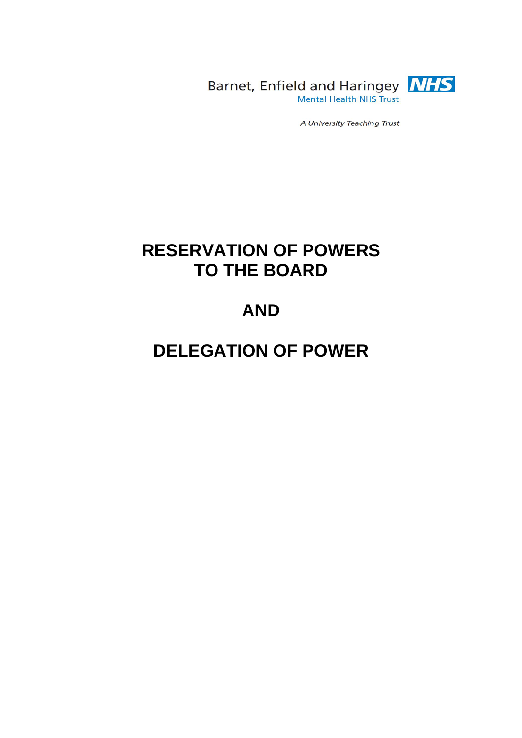

Barnet, Enfield and Haringey **NHS** Mental Health NHS Trust

A University Teaching Trust

# **RESERVATION OF POWERS TO THE BOARD**

# **AND**

# **DELEGATION OF POWER**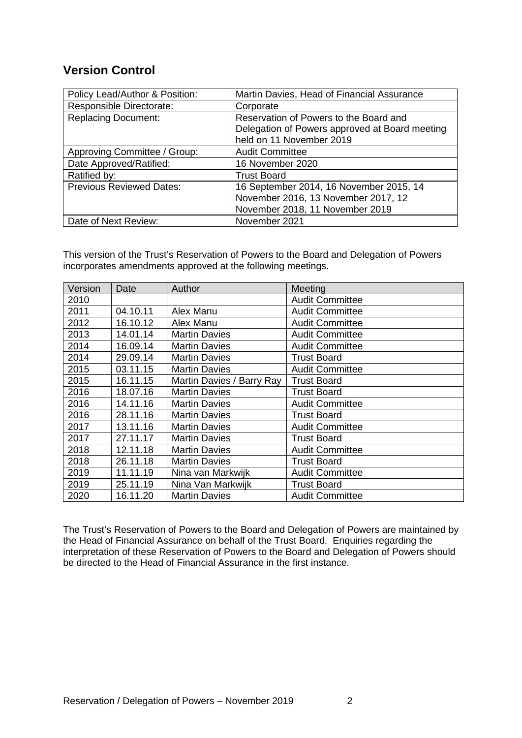### **Version Control**

| Policy Lead/Author & Position:  | Martin Davies, Head of Financial Assurance     |
|---------------------------------|------------------------------------------------|
| Responsible Directorate:        | Corporate                                      |
| <b>Replacing Document:</b>      | Reservation of Powers to the Board and         |
|                                 | Delegation of Powers approved at Board meeting |
|                                 | held on 11 November 2019                       |
| Approving Committee / Group:    | <b>Audit Committee</b>                         |
| Date Approved/Ratified:         | 16 November 2020                               |
| Ratified by:                    | <b>Trust Board</b>                             |
| <b>Previous Reviewed Dates:</b> | 16 September 2014, 16 November 2015, 14        |
|                                 | November 2016, 13 November 2017, 12            |
|                                 | November 2018, 11 November 2019                |
| Date of Next Review:            | November 2021                                  |

This version of the Trust's Reservation of Powers to the Board and Delegation of Powers incorporates amendments approved at the following meetings.

| Version | Date     | Author                    | Meeting                |
|---------|----------|---------------------------|------------------------|
| 2010    |          |                           | <b>Audit Committee</b> |
| 2011    | 04.10.11 | Alex Manu                 | <b>Audit Committee</b> |
| 2012    | 16.10.12 | Alex Manu                 | <b>Audit Committee</b> |
| 2013    | 14.01.14 | <b>Martin Davies</b>      | <b>Audit Committee</b> |
| 2014    | 16.09.14 | <b>Martin Davies</b>      | <b>Audit Committee</b> |
| 2014    | 29.09.14 | <b>Martin Davies</b>      | <b>Trust Board</b>     |
| 2015    | 03.11.15 | <b>Martin Davies</b>      | <b>Audit Committee</b> |
| 2015    | 16.11.15 | Martin Davies / Barry Ray | <b>Trust Board</b>     |
| 2016    | 18.07.16 | <b>Martin Davies</b>      | <b>Trust Board</b>     |
| 2016    | 14.11.16 | <b>Martin Davies</b>      | <b>Audit Committee</b> |
| 2016    | 28.11.16 | <b>Martin Davies</b>      | <b>Trust Board</b>     |
| 2017    | 13.11.16 | <b>Martin Davies</b>      | <b>Audit Committee</b> |
| 2017    | 27.11.17 | <b>Martin Davies</b>      | <b>Trust Board</b>     |
| 2018    | 12.11.18 | <b>Martin Davies</b>      | <b>Audit Committee</b> |
| 2018    | 26.11.18 | <b>Martin Davies</b>      | <b>Trust Board</b>     |
| 2019    | 11.11.19 | Nina van Markwijk         | <b>Audit Committee</b> |
| 2019    | 25.11.19 | Nina Van Markwijk         | <b>Trust Board</b>     |
| 2020    | 16.11.20 | <b>Martin Davies</b>      | <b>Audit Committee</b> |

The Trust's Reservation of Powers to the Board and Delegation of Powers are maintained by the Head of Financial Assurance on behalf of the Trust Board. Enquiries regarding the interpretation of these Reservation of Powers to the Board and Delegation of Powers should be directed to the Head of Financial Assurance in the first instance.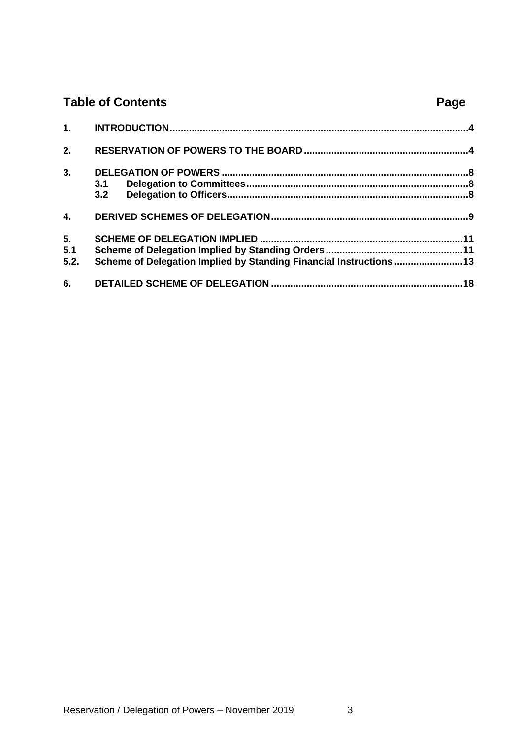## **Table of Contents Page**

| 2.   |                                                                    |  |
|------|--------------------------------------------------------------------|--|
| 3.   |                                                                    |  |
|      |                                                                    |  |
|      | 3.2                                                                |  |
| 4.   |                                                                    |  |
| 5.   |                                                                    |  |
| 5.1  |                                                                    |  |
| 5.2. | Scheme of Delegation Implied by Standing Financial Instructions 13 |  |
|      |                                                                    |  |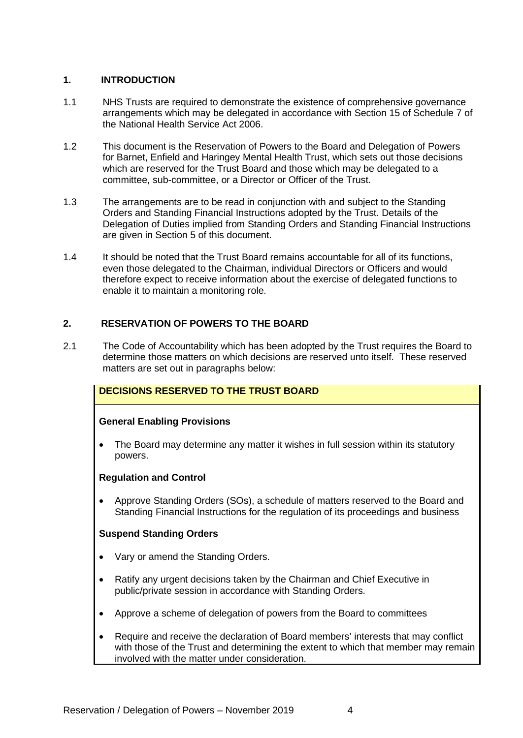#### <span id="page-3-0"></span>**1. INTRODUCTION**

- 1.1 NHS Trusts are required to demonstrate the existence of comprehensive governance arrangements which may be delegated in accordance with Section 15 of Schedule 7 of the National Health Service Act 2006.
- 1.2 This document is the Reservation of Powers to the Board and Delegation of Powers for Barnet, Enfield and Haringey Mental Health Trust, which sets out those decisions which are reserved for the Trust Board and those which may be delegated to a committee, sub-committee, or a Director or Officer of the Trust.
- 1.3 The arrangements are to be read in conjunction with and subject to the Standing Orders and Standing Financial Instructions adopted by the Trust. Details of the Delegation of Duties implied from Standing Orders and Standing Financial Instructions are given in Section 5 of this document.
- 1.4 It should be noted that the Trust Board remains accountable for all of its functions, even those delegated to the Chairman, individual Directors or Officers and would therefore expect to receive information about the exercise of delegated functions to enable it to maintain a monitoring role.

#### <span id="page-3-1"></span>**2. RESERVATION OF POWERS TO THE BOARD**

2.1 The Code of Accountability which has been adopted by the Trust requires the Board to determine those matters on which decisions are reserved unto itself. These reserved matters are set out in paragraphs below:

#### **DECISIONS RESERVED TO THE TRUST BOARD**

#### **General Enabling Provisions**

• The Board may determine any matter it wishes in full session within its statutory powers.

#### **Regulation and Control**

• Approve Standing Orders (SOs), a schedule of matters reserved to the Board and Standing Financial Instructions for the regulation of its proceedings and business

#### **Suspend Standing Orders**

- Vary or amend the Standing Orders.
- Ratify any urgent decisions taken by the Chairman and Chief Executive in public/private session in accordance with Standing Orders.
- Approve a scheme of delegation of powers from the Board to committees
- Require and receive the declaration of Board members' interests that may conflict with those of the Trust and determining the extent to which that member may remain involved with the matter under consideration.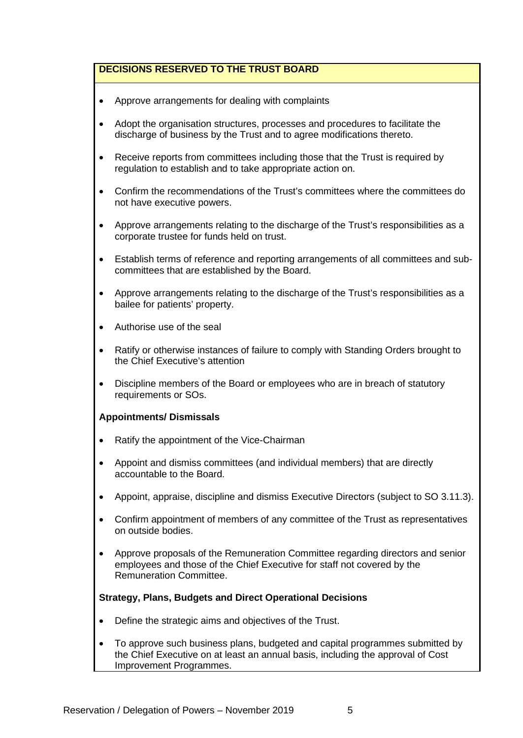- Approve arrangements for dealing with complaints
- Adopt the organisation structures, processes and procedures to facilitate the discharge of business by the Trust and to agree modifications thereto.
- Receive reports from committees including those that the Trust is required by regulation to establish and to take appropriate action on.
- Confirm the recommendations of the Trust's committees where the committees do not have executive powers.
- Approve arrangements relating to the discharge of the Trust's responsibilities as a corporate trustee for funds held on trust.
- Establish terms of reference and reporting arrangements of all committees and subcommittees that are established by the Board.
- Approve arrangements relating to the discharge of the Trust's responsibilities as a bailee for patients' property.
- Authorise use of the seal
- Ratify or otherwise instances of failure to comply with Standing Orders brought to the Chief Executive's attention
- Discipline members of the Board or employees who are in breach of statutory requirements or SOs.

#### **Appointments/ Dismissals**

- Ratify the appointment of the Vice-Chairman
- Appoint and dismiss committees (and individual members) that are directly accountable to the Board.
- Appoint, appraise, discipline and dismiss Executive Directors (subject to SO 3.11.3).
- Confirm appointment of members of any committee of the Trust as representatives on outside bodies.
- Approve proposals of the Remuneration Committee regarding directors and senior employees and those of the Chief Executive for staff not covered by the Remuneration Committee.

#### **Strategy, Plans, Budgets and Direct Operational Decisions**

- Define the strategic aims and objectives of the Trust.
- To approve such business plans, budgeted and capital programmes submitted by the Chief Executive on at least an annual basis, including the approval of Cost Improvement Programmes.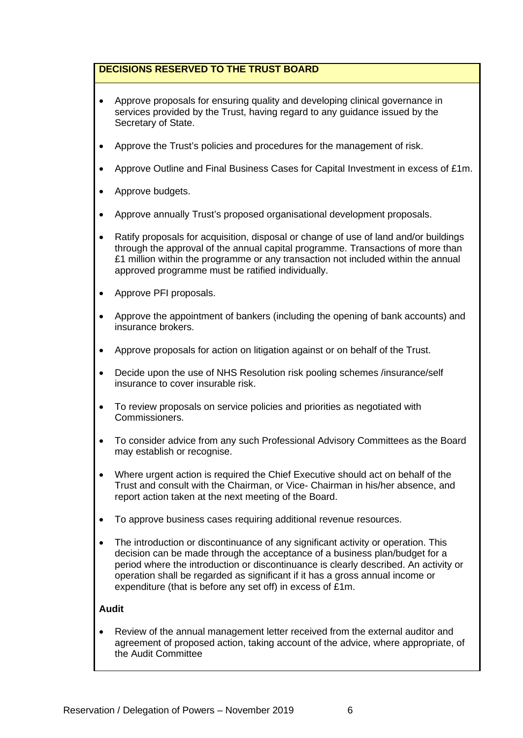- Approve proposals for ensuring quality and developing clinical governance in services provided by the Trust, having regard to any guidance issued by the Secretary of State.
- Approve the Trust's policies and procedures for the management of risk.
- Approve Outline and Final Business Cases for Capital Investment in excess of £1m.
- Approve budgets.
- Approve annually Trust's proposed organisational development proposals.
- Ratify proposals for acquisition, disposal or change of use of land and/or buildings through the approval of the annual capital programme. Transactions of more than £1 million within the programme or any transaction not included within the annual approved programme must be ratified individually.
- Approve PFI proposals.
- Approve the appointment of bankers (including the opening of bank accounts) and insurance brokers.
- Approve proposals for action on litigation against or on behalf of the Trust.
- Decide upon the use of NHS Resolution risk pooling schemes /insurance/self insurance to cover insurable risk.
- To review proposals on service policies and priorities as negotiated with Commissioners.
- To consider advice from any such Professional Advisory Committees as the Board may establish or recognise.
- Where urgent action is required the Chief Executive should act on behalf of the Trust and consult with the Chairman, or Vice- Chairman in his/her absence, and report action taken at the next meeting of the Board.
- To approve business cases requiring additional revenue resources.
- The introduction or discontinuance of any significant activity or operation. This decision can be made through the acceptance of a business plan/budget for a period where the introduction or discontinuance is clearly described. An activity or operation shall be regarded as significant if it has a gross annual income or expenditure (that is before any set off) in excess of £1m.

#### **Audit**

• Review of the annual management letter received from the external auditor and agreement of proposed action, taking account of the advice, where appropriate, of the Audit Committee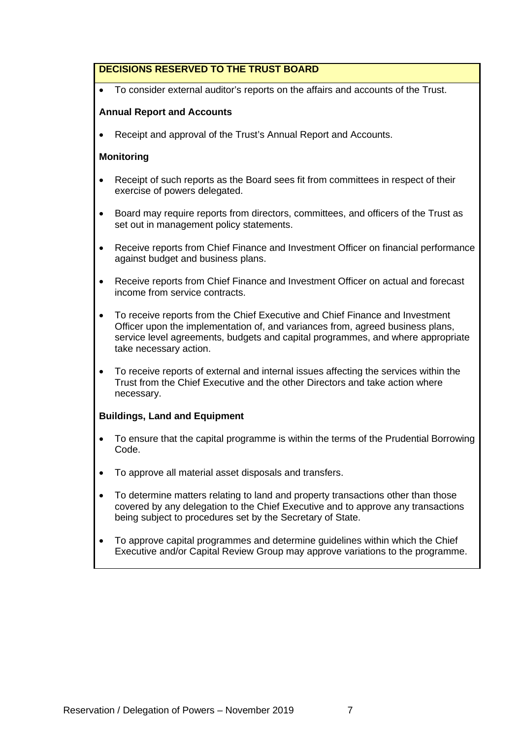• To consider external auditor's reports on the affairs and accounts of the Trust.

#### **Annual Report and Accounts**

• Receipt and approval of the Trust's Annual Report and Accounts.

#### **Monitoring**

- Receipt of such reports as the Board sees fit from committees in respect of their exercise of powers delegated.
- Board may require reports from directors, committees, and officers of the Trust as set out in management policy statements.
- Receive reports from Chief Finance and Investment Officer on financial performance against budget and business plans.
- Receive reports from Chief Finance and Investment Officer on actual and forecast income from service contracts.
- To receive reports from the Chief Executive and Chief Finance and Investment Officer upon the implementation of, and variances from, agreed business plans, service level agreements, budgets and capital programmes, and where appropriate take necessary action.
- To receive reports of external and internal issues affecting the services within the Trust from the Chief Executive and the other Directors and take action where necessary.

#### **Buildings, Land and Equipment**

- To ensure that the capital programme is within the terms of the Prudential Borrowing Code.
- To approve all material asset disposals and transfers.
- To determine matters relating to land and property transactions other than those covered by any delegation to the Chief Executive and to approve any transactions being subject to procedures set by the Secretary of State.
- To approve capital programmes and determine guidelines within which the Chief Executive and/or Capital Review Group may approve variations to the programme.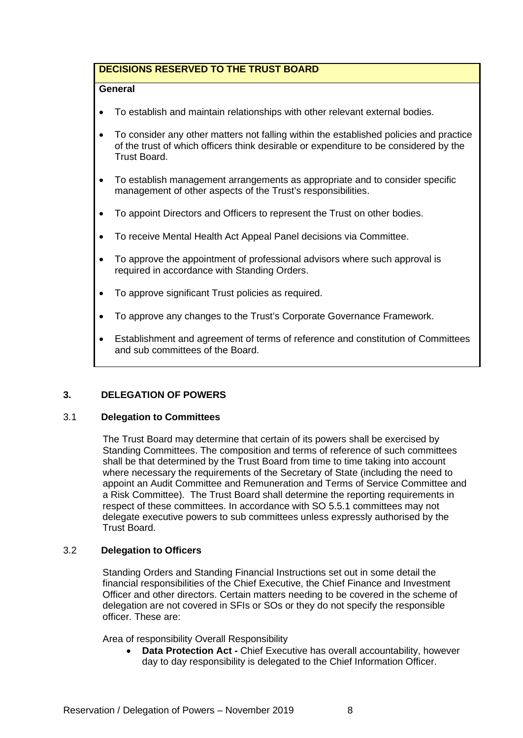#### **General**

- To establish and maintain relationships with other relevant external bodies.
- To consider any other matters not falling within the established policies and practice of the trust of which officers think desirable or expenditure to be considered by the Trust Board.
- To establish management arrangements as appropriate and to consider specific management of other aspects of the Trust's responsibilities.
- To appoint Directors and Officers to represent the Trust on other bodies.
- To receive Mental Health Act Appeal Panel decisions via Committee.
- To approve the appointment of professional advisors where such approval is required in accordance with Standing Orders.
- To approve significant Trust policies as required.
- To approve any changes to the Trust's Corporate Governance Framework.
- Establishment and agreement of terms of reference and constitution of Committees and sub committees of the Board.

#### <span id="page-7-0"></span>**3. DELEGATION OF POWERS**

#### <span id="page-7-1"></span>3.1 **Delegation to Committees**

The Trust Board may determine that certain of its powers shall be exercised by Standing Committees. The composition and terms of reference of such committees shall be that determined by the Trust Board from time to time taking into account where necessary the requirements of the Secretary of State (including the need to appoint an Audit Committee and Remuneration and Terms of Service Committee and a Risk Committee). The Trust Board shall determine the reporting requirements in respect of these committees. In accordance with SO 5.5.1 committees may not delegate executive powers to sub committees unless expressly authorised by the Trust Board.

#### <span id="page-7-2"></span>3.2 **Delegation to Officers**

Standing Orders and Standing Financial Instructions set out in some detail the financial responsibilities of the Chief Executive, the Chief Finance and Investment Officer and other directors. Certain matters needing to be covered in the scheme of delegation are not covered in SFIs or SOs or they do not specify the responsible officer. These are:

Area of responsibility Overall Responsibility

• **Data Protection Act -** Chief Executive has overall accountability, however day to day responsibility is delegated to the Chief Information Officer.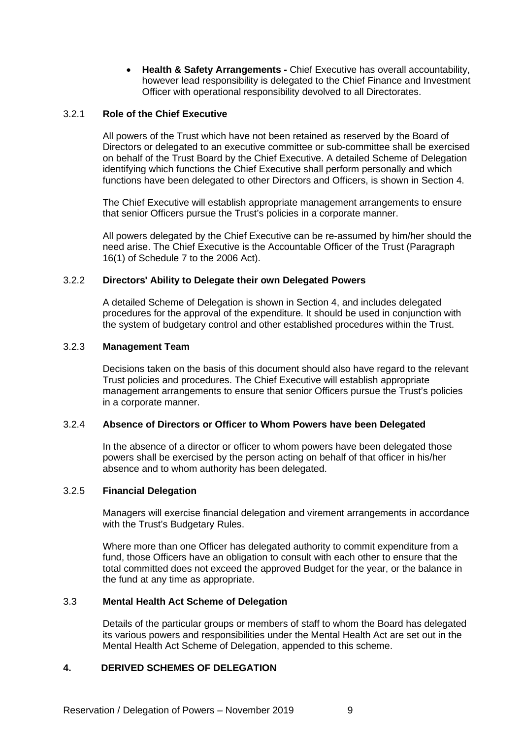• **Health & Safety Arrangements -** Chief Executive has overall accountability, however lead responsibility is delegated to the Chief Finance and Investment Officer with operational responsibility devolved to all Directorates.

#### 3.2.1 **Role of the Chief Executive**

All powers of the Trust which have not been retained as reserved by the Board of Directors or delegated to an executive committee or sub-committee shall be exercised on behalf of the Trust Board by the Chief Executive. A detailed Scheme of Delegation identifying which functions the Chief Executive shall perform personally and which functions have been delegated to other Directors and Officers, is shown in Section 4.

The Chief Executive will establish appropriate management arrangements to ensure that senior Officers pursue the Trust's policies in a corporate manner.

All powers delegated by the Chief Executive can be re-assumed by him/her should the need arise. The Chief Executive is the Accountable Officer of the Trust (Paragraph 16(1) of Schedule 7 to the 2006 Act).

#### 3.2.2 **Directors' Ability to Delegate their own Delegated Powers**

A detailed Scheme of Delegation is shown in Section 4, and includes delegated procedures for the approval of the expenditure. It should be used in conjunction with the system of budgetary control and other established procedures within the Trust.

#### 3.2.3 **Management Team**

Decisions taken on the basis of this document should also have regard to the relevant Trust policies and procedures. The Chief Executive will establish appropriate management arrangements to ensure that senior Officers pursue the Trust's policies in a corporate manner.

#### 3.2.4 **Absence of Directors or Officer to Whom Powers have been Delegated**

In the absence of a director or officer to whom powers have been delegated those powers shall be exercised by the person acting on behalf of that officer in his/her absence and to whom authority has been delegated.

#### 3.2.5 **Financial Delegation**

Managers will exercise financial delegation and virement arrangements in accordance with the Trust's Budgetary Rules.

Where more than one Officer has delegated authority to commit expenditure from a fund, those Officers have an obligation to consult with each other to ensure that the total committed does not exceed the approved Budget for the year, or the balance in the fund at any time as appropriate.

#### 3.3 **Mental Health Act Scheme of Delegation**

Details of the particular groups or members of staff to whom the Board has delegated its various powers and responsibilities under the Mental Health Act are set out in the Mental Health Act Scheme of Delegation, appended to this scheme.

#### <span id="page-8-0"></span>**4. DERIVED SCHEMES OF DELEGATION**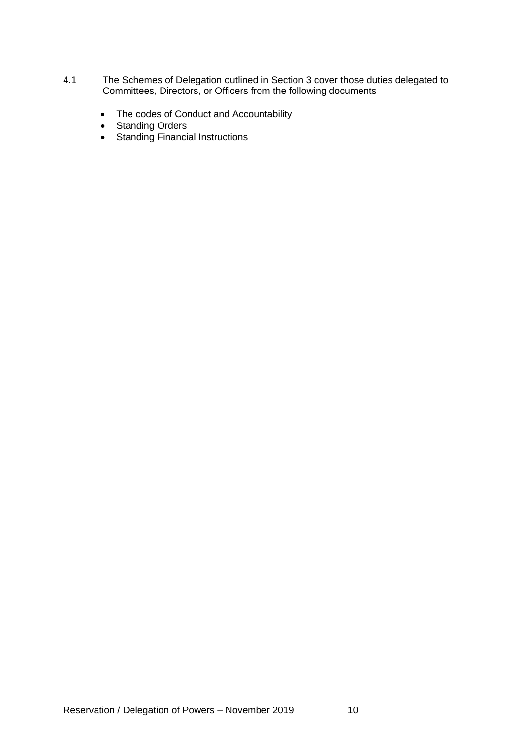- 4.1 The Schemes of Delegation outlined in Section 3 cover those duties delegated to Committees, Directors, or Officers from the following documents
	- The codes of Conduct and Accountability
	- Standing Orders
	- Standing Financial Instructions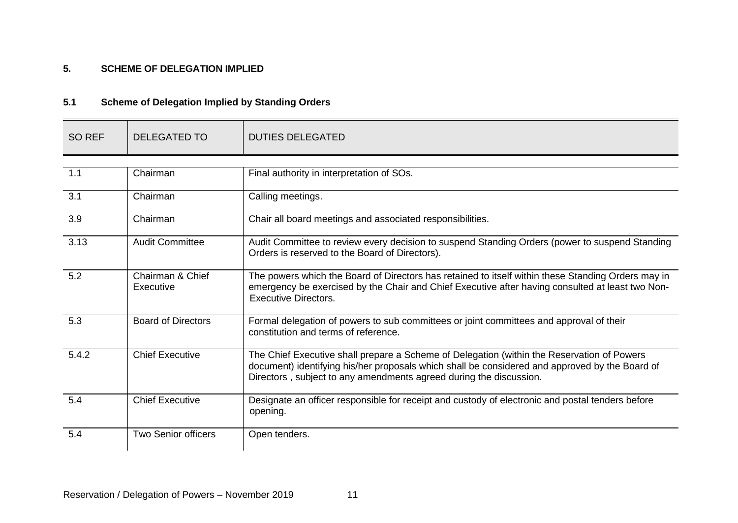#### **5. SCHEME OF DELEGATION IMPLIED**

### **5.1 Scheme of Delegation Implied by Standing Orders**

<span id="page-10-1"></span><span id="page-10-0"></span>

| <b>SO REF</b> | <b>DELEGATED TO</b>           | <b>DUTIES DELEGATED</b>                                                                                                                                                                                                                                            |
|---------------|-------------------------------|--------------------------------------------------------------------------------------------------------------------------------------------------------------------------------------------------------------------------------------------------------------------|
|               |                               |                                                                                                                                                                                                                                                                    |
| 1.1           | Chairman                      | Final authority in interpretation of SOs.                                                                                                                                                                                                                          |
| 3.1           | Chairman                      | Calling meetings.                                                                                                                                                                                                                                                  |
| 3.9           | Chairman                      | Chair all board meetings and associated responsibilities.                                                                                                                                                                                                          |
| 3.13          | <b>Audit Committee</b>        | Audit Committee to review every decision to suspend Standing Orders (power to suspend Standing<br>Orders is reserved to the Board of Directors).                                                                                                                   |
| 5.2           | Chairman & Chief<br>Executive | The powers which the Board of Directors has retained to itself within these Standing Orders may in<br>emergency be exercised by the Chair and Chief Executive after having consulted at least two Non-<br><b>Executive Directors.</b>                              |
| 5.3           | <b>Board of Directors</b>     | Formal delegation of powers to sub committees or joint committees and approval of their<br>constitution and terms of reference.                                                                                                                                    |
| 5.4.2         | <b>Chief Executive</b>        | The Chief Executive shall prepare a Scheme of Delegation (within the Reservation of Powers<br>document) identifying his/her proposals which shall be considered and approved by the Board of<br>Directors, subject to any amendments agreed during the discussion. |
| 5.4           | <b>Chief Executive</b>        | Designate an officer responsible for receipt and custody of electronic and postal tenders before<br>opening.                                                                                                                                                       |
| 5.4           | <b>Two Senior officers</b>    | Open tenders.                                                                                                                                                                                                                                                      |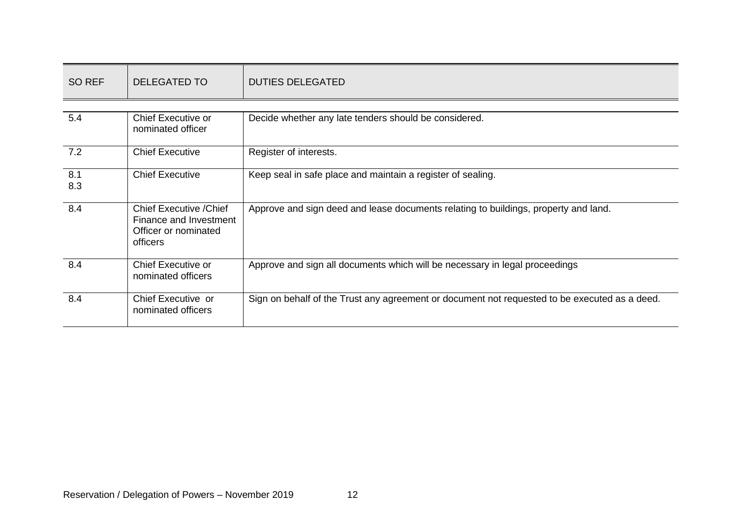| SO REF     | <b>DELEGATED TO</b>                                                                          | <b>DUTIES DELEGATED</b>                                                                       |
|------------|----------------------------------------------------------------------------------------------|-----------------------------------------------------------------------------------------------|
|            |                                                                                              |                                                                                               |
| 5.4        | <b>Chief Executive or</b><br>nominated officer                                               | Decide whether any late tenders should be considered.                                         |
| 7.2        | <b>Chief Executive</b>                                                                       | Register of interests.                                                                        |
| 8.1<br>8.3 | <b>Chief Executive</b>                                                                       | Keep seal in safe place and maintain a register of sealing.                                   |
| 8.4        | <b>Chief Executive / Chief</b><br>Finance and Investment<br>Officer or nominated<br>officers | Approve and sign deed and lease documents relating to buildings, property and land.           |
| 8.4        | Chief Executive or<br>nominated officers                                                     | Approve and sign all documents which will be necessary in legal proceedings                   |
| 8.4        | Chief Executive or<br>nominated officers                                                     | Sign on behalf of the Trust any agreement or document not requested to be executed as a deed. |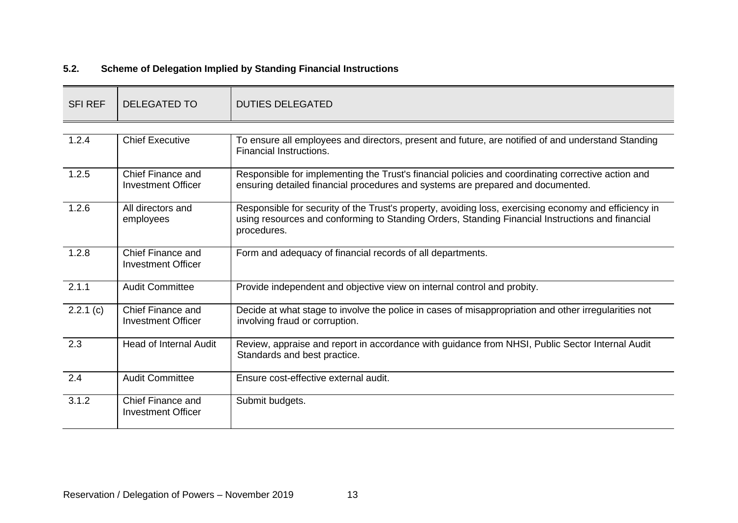### **5.2. Scheme of Delegation Implied by Standing Financial Instructions**

<span id="page-12-0"></span>

| <b>SFI REF</b>     | DELEGATED TO                                   | <b>DUTIES DELEGATED</b>                                                                                                                                                                                                  |
|--------------------|------------------------------------------------|--------------------------------------------------------------------------------------------------------------------------------------------------------------------------------------------------------------------------|
|                    |                                                |                                                                                                                                                                                                                          |
| 1.2.4              | <b>Chief Executive</b>                         | To ensure all employees and directors, present and future, are notified of and understand Standing<br>Financial Instructions.                                                                                            |
| 1.2.5              | Chief Finance and<br><b>Investment Officer</b> | Responsible for implementing the Trust's financial policies and coordinating corrective action and<br>ensuring detailed financial procedures and systems are prepared and documented.                                    |
| 1.2.6              | All directors and<br>employees                 | Responsible for security of the Trust's property, avoiding loss, exercising economy and efficiency in<br>using resources and conforming to Standing Orders, Standing Financial Instructions and financial<br>procedures. |
| 1.2.8              | Chief Finance and<br><b>Investment Officer</b> | Form and adequacy of financial records of all departments.                                                                                                                                                               |
| $\overline{2.1.1}$ | <b>Audit Committee</b>                         | Provide independent and objective view on internal control and probity.                                                                                                                                                  |
| 2.2.1(c)           | Chief Finance and<br><b>Investment Officer</b> | Decide at what stage to involve the police in cases of misappropriation and other irregularities not<br>involving fraud or corruption.                                                                                   |
| 2.3                | <b>Head of Internal Audit</b>                  | Review, appraise and report in accordance with guidance from NHSI, Public Sector Internal Audit<br>Standards and best practice.                                                                                          |
| 2.4                | <b>Audit Committee</b>                         | Ensure cost-effective external audit.                                                                                                                                                                                    |
| 3.1.2              | Chief Finance and<br><b>Investment Officer</b> | Submit budgets.                                                                                                                                                                                                          |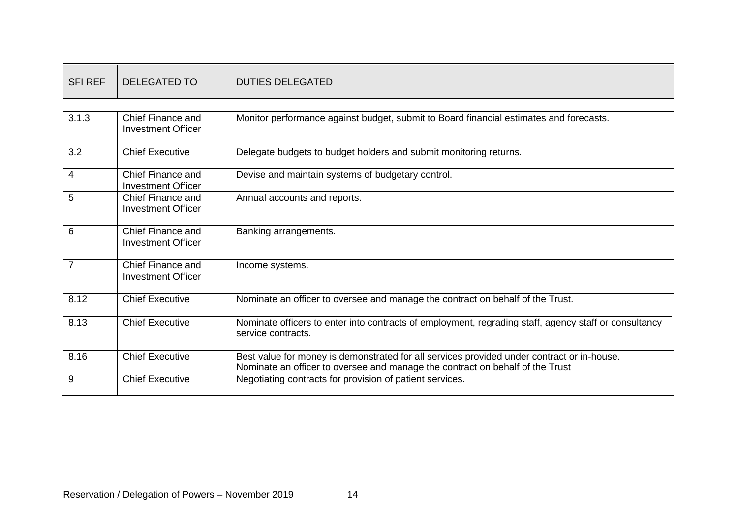| <b>SFI REF</b> | <b>DELEGATED TO</b>                            | <b>DUTIES DELEGATED</b>                                                                                                                                                     |
|----------------|------------------------------------------------|-----------------------------------------------------------------------------------------------------------------------------------------------------------------------------|
|                |                                                |                                                                                                                                                                             |
| 3.1.3          | Chief Finance and<br><b>Investment Officer</b> | Monitor performance against budget, submit to Board financial estimates and forecasts.                                                                                      |
| 3.2            | <b>Chief Executive</b>                         | Delegate budgets to budget holders and submit monitoring returns.                                                                                                           |
| $\overline{4}$ | Chief Finance and<br><b>Investment Officer</b> | Devise and maintain systems of budgetary control.                                                                                                                           |
| 5              | Chief Finance and<br><b>Investment Officer</b> | Annual accounts and reports.                                                                                                                                                |
| 6              | Chief Finance and<br><b>Investment Officer</b> | Banking arrangements.                                                                                                                                                       |
| $\overline{7}$ | Chief Finance and<br><b>Investment Officer</b> | Income systems.                                                                                                                                                             |
| 8.12           | <b>Chief Executive</b>                         | Nominate an officer to oversee and manage the contract on behalf of the Trust.                                                                                              |
| 8.13           | <b>Chief Executive</b>                         | Nominate officers to enter into contracts of employment, regrading staff, agency staff or consultancy<br>service contracts.                                                 |
| 8.16           | <b>Chief Executive</b>                         | Best value for money is demonstrated for all services provided under contract or in-house.<br>Nominate an officer to oversee and manage the contract on behalf of the Trust |
| 9              | <b>Chief Executive</b>                         | Negotiating contracts for provision of patient services.                                                                                                                    |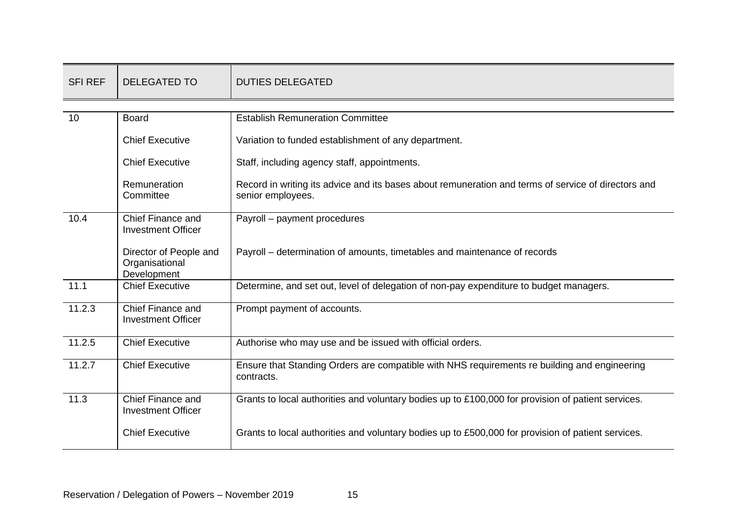| <b>SFI REF</b> | <b>DELEGATED TO</b>                                     | <b>DUTIES DELEGATED</b>                                                                                                  |
|----------------|---------------------------------------------------------|--------------------------------------------------------------------------------------------------------------------------|
|                |                                                         |                                                                                                                          |
| 10             | <b>Board</b>                                            | <b>Establish Remuneration Committee</b>                                                                                  |
|                | <b>Chief Executive</b>                                  | Variation to funded establishment of any department.                                                                     |
|                | <b>Chief Executive</b>                                  | Staff, including agency staff, appointments.                                                                             |
|                | Remuneration<br>Committee                               | Record in writing its advice and its bases about remuneration and terms of service of directors and<br>senior employees. |
| 10.4           | Chief Finance and<br><b>Investment Officer</b>          | Payroll - payment procedures                                                                                             |
|                | Director of People and<br>Organisational<br>Development | Payroll – determination of amounts, timetables and maintenance of records                                                |
| 11.1           | <b>Chief Executive</b>                                  | Determine, and set out, level of delegation of non-pay expenditure to budget managers.                                   |
| 11.2.3         | Chief Finance and<br><b>Investment Officer</b>          | Prompt payment of accounts.                                                                                              |
| 11.2.5         | <b>Chief Executive</b>                                  | Authorise who may use and be issued with official orders.                                                                |
| 11.2.7         | <b>Chief Executive</b>                                  | Ensure that Standing Orders are compatible with NHS requirements re building and engineering<br>contracts.               |
| 11.3           | Chief Finance and<br><b>Investment Officer</b>          | Grants to local authorities and voluntary bodies up to £100,000 for provision of patient services.                       |
|                | <b>Chief Executive</b>                                  | Grants to local authorities and voluntary bodies up to £500,000 for provision of patient services.                       |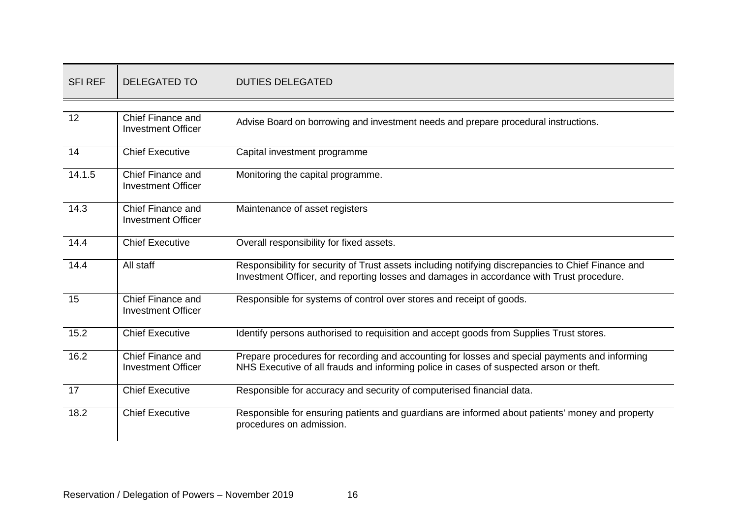| <b>SFI REF</b> | <b>DELEGATED TO</b>                            | <b>DUTIES DELEGATED</b>                                                                                                                                                                        |
|----------------|------------------------------------------------|------------------------------------------------------------------------------------------------------------------------------------------------------------------------------------------------|
|                |                                                |                                                                                                                                                                                                |
| 12             | Chief Finance and<br><b>Investment Officer</b> | Advise Board on borrowing and investment needs and prepare procedural instructions.                                                                                                            |
| 14             | <b>Chief Executive</b>                         | Capital investment programme                                                                                                                                                                   |
| 14.1.5         | Chief Finance and<br><b>Investment Officer</b> | Monitoring the capital programme.                                                                                                                                                              |
| 14.3           | Chief Finance and<br><b>Investment Officer</b> | Maintenance of asset registers                                                                                                                                                                 |
| 14.4           | <b>Chief Executive</b>                         | Overall responsibility for fixed assets.                                                                                                                                                       |
| 14.4           | All staff                                      | Responsibility for security of Trust assets including notifying discrepancies to Chief Finance and<br>Investment Officer, and reporting losses and damages in accordance with Trust procedure. |
| 15             | Chief Finance and<br><b>Investment Officer</b> | Responsible for systems of control over stores and receipt of goods.                                                                                                                           |
| 15.2           | <b>Chief Executive</b>                         | Identify persons authorised to requisition and accept goods from Supplies Trust stores.                                                                                                        |
| 16.2           | Chief Finance and<br><b>Investment Officer</b> | Prepare procedures for recording and accounting for losses and special payments and informing<br>NHS Executive of all frauds and informing police in cases of suspected arson or theft.        |
| 17             | <b>Chief Executive</b>                         | Responsible for accuracy and security of computerised financial data.                                                                                                                          |
| 18.2           | <b>Chief Executive</b>                         | Responsible for ensuring patients and guardians are informed about patients' money and property<br>procedures on admission.                                                                    |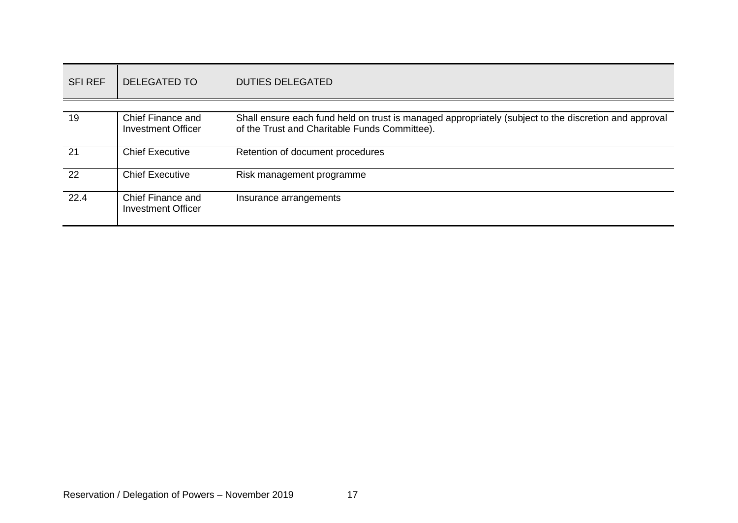| <b>SFI REF</b> | <b>DELEGATED TO</b>                            | <b>DUTIES DELEGATED</b>                                                                                                                                |
|----------------|------------------------------------------------|--------------------------------------------------------------------------------------------------------------------------------------------------------|
|                |                                                |                                                                                                                                                        |
| 19             | Chief Finance and<br><b>Investment Officer</b> | Shall ensure each fund held on trust is managed appropriately (subject to the discretion and approval<br>of the Trust and Charitable Funds Committee). |
| 21             | <b>Chief Executive</b>                         | Retention of document procedures                                                                                                                       |
| 22             | <b>Chief Executive</b>                         | Risk management programme                                                                                                                              |
| 22.4           | Chief Finance and<br><b>Investment Officer</b> | Insurance arrangements                                                                                                                                 |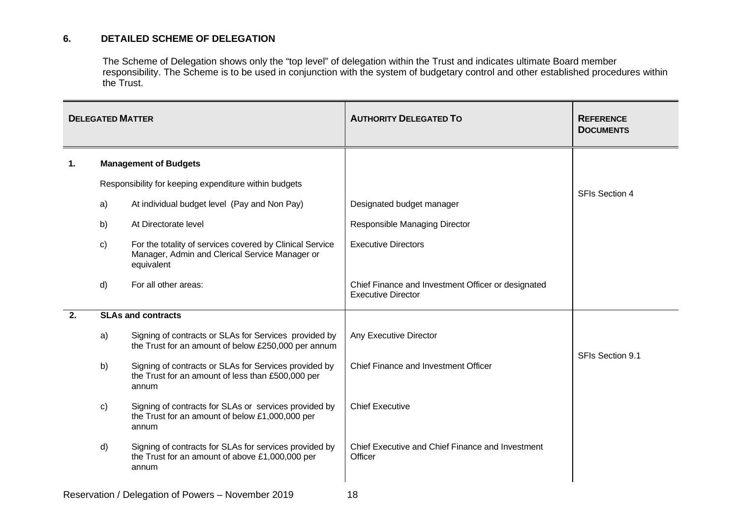#### **6. DETAILED SCHEME OF DELEGATION**

The Scheme of Delegation shows only the "top level" of delegation within the Trust and indicates ultimate Board member responsibility. The Scheme is to be used in conjunction with the system of budgetary control and other established procedures within the Trust.

<span id="page-17-0"></span>

| <b>DELEGATED MATTER</b> |                           |                                                                                                                          | <b>AUTHORITY DELEGATED TO</b>                                                   | <b>REFERENCE</b><br><b>DOCUMENTS</b> |  |
|-------------------------|---------------------------|--------------------------------------------------------------------------------------------------------------------------|---------------------------------------------------------------------------------|--------------------------------------|--|
| $\mathbf{1}$ .          |                           | <b>Management of Budgets</b>                                                                                             |                                                                                 |                                      |  |
|                         |                           | Responsibility for keeping expenditure within budgets                                                                    |                                                                                 |                                      |  |
|                         | a)                        | At individual budget level (Pay and Non Pay)                                                                             | Designated budget manager                                                       | <b>SFIs Section 4</b>                |  |
|                         | b)                        | At Directorate level                                                                                                     | Responsible Managing Director                                                   |                                      |  |
|                         | C)                        | For the totality of services covered by Clinical Service<br>Manager, Admin and Clerical Service Manager or<br>equivalent | <b>Executive Directors</b>                                                      |                                      |  |
|                         | d)                        | For all other areas:                                                                                                     | Chief Finance and Investment Officer or designated<br><b>Executive Director</b> |                                      |  |
| 2.                      | <b>SLAs and contracts</b> |                                                                                                                          |                                                                                 |                                      |  |
|                         | a)                        | Signing of contracts or SLAs for Services provided by<br>the Trust for an amount of below £250,000 per annum             | Any Executive Director                                                          |                                      |  |
|                         | b)                        | Signing of contracts or SLAs for Services provided by<br>the Trust for an amount of less than £500,000 per<br>annum      | Chief Finance and Investment Officer                                            | SFIs Section 9.1                     |  |
|                         | C)                        | Signing of contracts for SLAs or services provided by<br>the Trust for an amount of below £1,000,000 per<br>annum        | <b>Chief Executive</b>                                                          |                                      |  |
|                         | d)                        | Signing of contracts for SLAs for services provided by<br>the Trust for an amount of above £1,000,000 per<br>annum       | Chief Executive and Chief Finance and Investment<br>Officer                     |                                      |  |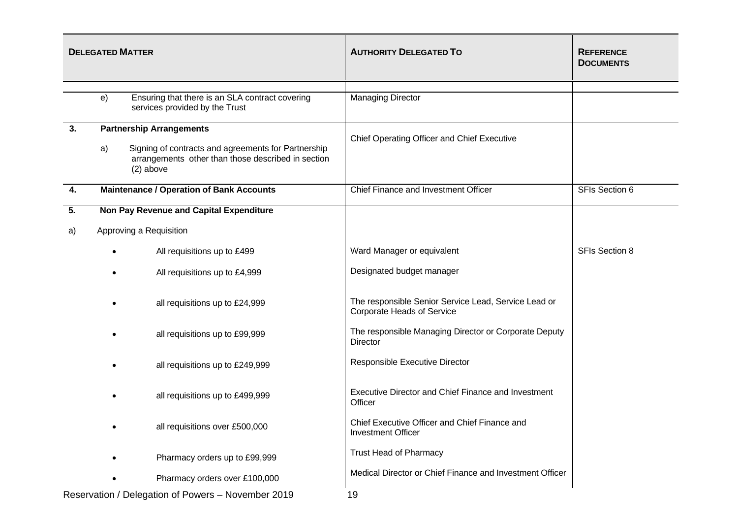| <b>DELEGATED MATTER</b>                            |                                                                                                                                |                                                                                   | <b>AUTHORITY DELEGATED TO</b>                                                      | <b>REFERENCE</b><br><b>DOCUMENTS</b> |
|----------------------------------------------------|--------------------------------------------------------------------------------------------------------------------------------|-----------------------------------------------------------------------------------|------------------------------------------------------------------------------------|--------------------------------------|
|                                                    |                                                                                                                                |                                                                                   |                                                                                    |                                      |
|                                                    | e)                                                                                                                             | Ensuring that there is an SLA contract covering<br>services provided by the Trust | <b>Managing Director</b>                                                           |                                      |
| 3.                                                 |                                                                                                                                | <b>Partnership Arrangements</b>                                                   |                                                                                    |                                      |
|                                                    | Signing of contracts and agreements for Partnership<br>a)<br>arrangements other than those described in section<br>$(2)$ above |                                                                                   | Chief Operating Officer and Chief Executive                                        |                                      |
| 4.                                                 |                                                                                                                                | <b>Maintenance / Operation of Bank Accounts</b>                                   | Chief Finance and Investment Officer                                               | SFIs Section 6                       |
| 5.                                                 |                                                                                                                                | Non Pay Revenue and Capital Expenditure                                           |                                                                                    |                                      |
| a)                                                 | Approving a Requisition                                                                                                        |                                                                                   |                                                                                    |                                      |
|                                                    |                                                                                                                                | All requisitions up to £499                                                       | Ward Manager or equivalent                                                         | <b>SFIs Section 8</b>                |
|                                                    | ٠                                                                                                                              | All requisitions up to £4,999                                                     | Designated budget manager                                                          |                                      |
|                                                    |                                                                                                                                | all requisitions up to £24,999                                                    | The responsible Senior Service Lead, Service Lead or<br>Corporate Heads of Service |                                      |
|                                                    |                                                                                                                                | all requisitions up to £99,999                                                    | The responsible Managing Director or Corporate Deputy<br>Director                  |                                      |
|                                                    |                                                                                                                                | all requisitions up to £249,999                                                   | Responsible Executive Director                                                     |                                      |
|                                                    |                                                                                                                                | all requisitions up to £499,999                                                   | Executive Director and Chief Finance and Investment<br>Officer                     |                                      |
|                                                    |                                                                                                                                | all requisitions over £500,000                                                    | Chief Executive Officer and Chief Finance and<br><b>Investment Officer</b>         |                                      |
|                                                    |                                                                                                                                | Pharmacy orders up to £99,999                                                     | <b>Trust Head of Pharmacy</b>                                                      |                                      |
|                                                    |                                                                                                                                | Pharmacy orders over £100,000                                                     | Medical Director or Chief Finance and Investment Officer                           |                                      |
| Reservation / Delegation of Powers - November 2019 |                                                                                                                                |                                                                                   | 19                                                                                 |                                      |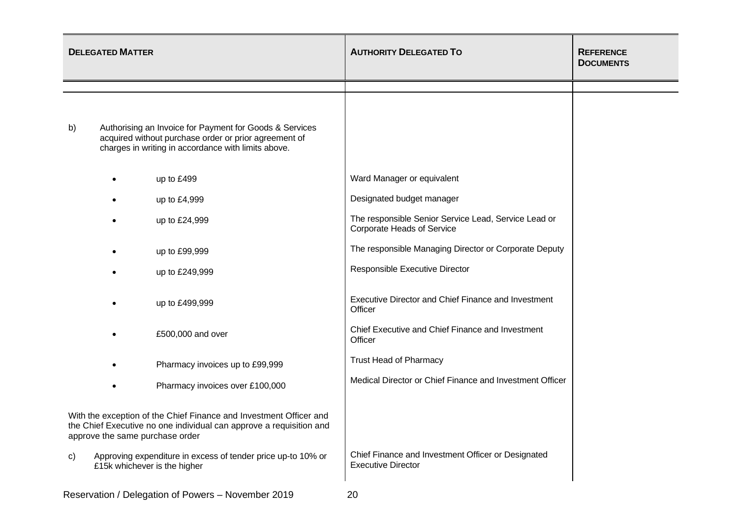| <b>DELEGATED MATTER</b>                                                                                                                                                      |           |                                                                                                                                                                         | <b>AUTHORITY DELEGATED TO</b>                                                      | <b>REFERENCE</b><br><b>DOCUMENTS</b> |
|------------------------------------------------------------------------------------------------------------------------------------------------------------------------------|-----------|-------------------------------------------------------------------------------------------------------------------------------------------------------------------------|------------------------------------------------------------------------------------|--------------------------------------|
|                                                                                                                                                                              |           |                                                                                                                                                                         |                                                                                    |                                      |
| b)                                                                                                                                                                           |           | Authorising an Invoice for Payment for Goods & Services<br>acquired without purchase order or prior agreement of<br>charges in writing in accordance with limits above. |                                                                                    |                                      |
|                                                                                                                                                                              |           | up to £499                                                                                                                                                              | Ward Manager or equivalent                                                         |                                      |
|                                                                                                                                                                              |           | up to £4,999                                                                                                                                                            | Designated budget manager                                                          |                                      |
|                                                                                                                                                                              | $\bullet$ | up to £24,999                                                                                                                                                           | The responsible Senior Service Lead, Service Lead or<br>Corporate Heads of Service |                                      |
|                                                                                                                                                                              |           | up to £99,999                                                                                                                                                           | The responsible Managing Director or Corporate Deputy                              |                                      |
|                                                                                                                                                                              |           | up to £249,999                                                                                                                                                          | Responsible Executive Director                                                     |                                      |
|                                                                                                                                                                              |           | up to £499,999                                                                                                                                                          | Executive Director and Chief Finance and Investment<br>Officer                     |                                      |
|                                                                                                                                                                              |           | £500,000 and over                                                                                                                                                       | Chief Executive and Chief Finance and Investment<br>Officer                        |                                      |
|                                                                                                                                                                              |           | Pharmacy invoices up to £99,999                                                                                                                                         | <b>Trust Head of Pharmacy</b>                                                      |                                      |
|                                                                                                                                                                              |           | Pharmacy invoices over £100,000                                                                                                                                         | Medical Director or Chief Finance and Investment Officer                           |                                      |
| With the exception of the Chief Finance and Investment Officer and<br>the Chief Executive no one individual can approve a requisition and<br>approve the same purchase order |           |                                                                                                                                                                         |                                                                                    |                                      |
| C)                                                                                                                                                                           |           | Approving expenditure in excess of tender price up-to 10% or<br>£15k whichever is the higher                                                                            | Chief Finance and Investment Officer or Designated<br><b>Executive Director</b>    |                                      |
|                                                                                                                                                                              |           | / Delegation of Dougre November 2010                                                                                                                                    |                                                                                    |                                      |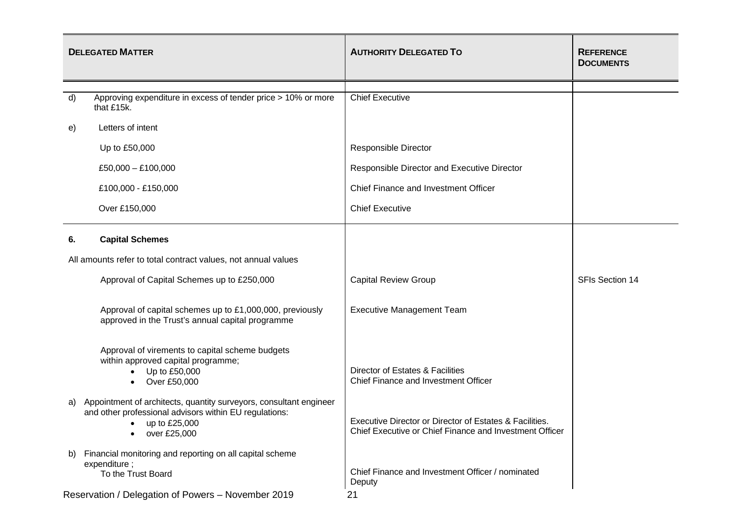|              | <b>DELEGATED MATTER</b>                                                                                                                                                    | <b>AUTHORITY DELEGATED TO</b>                                                                                      | <b>REFERENCE</b><br><b>DOCUMENTS</b> |  |
|--------------|----------------------------------------------------------------------------------------------------------------------------------------------------------------------------|--------------------------------------------------------------------------------------------------------------------|--------------------------------------|--|
|              |                                                                                                                                                                            |                                                                                                                    |                                      |  |
| $\mathsf{d}$ | Approving expenditure in excess of tender price > 10% or more<br>that £15k.                                                                                                | <b>Chief Executive</b>                                                                                             |                                      |  |
| e)           | Letters of intent                                                                                                                                                          |                                                                                                                    |                                      |  |
|              | Up to £50,000                                                                                                                                                              | <b>Responsible Director</b>                                                                                        |                                      |  |
|              | £50,000 $-$ £100,000                                                                                                                                                       | Responsible Director and Executive Director                                                                        |                                      |  |
|              | £100,000 - £150,000                                                                                                                                                        | Chief Finance and Investment Officer                                                                               |                                      |  |
|              | Over £150,000                                                                                                                                                              | <b>Chief Executive</b>                                                                                             |                                      |  |
| 6.           | <b>Capital Schemes</b>                                                                                                                                                     |                                                                                                                    |                                      |  |
|              | All amounts refer to total contract values, not annual values                                                                                                              |                                                                                                                    |                                      |  |
|              | Approval of Capital Schemes up to £250,000                                                                                                                                 | <b>Capital Review Group</b>                                                                                        | SFIs Section 14                      |  |
|              | Approval of capital schemes up to £1,000,000, previously<br>approved in the Trust's annual capital programme                                                               | <b>Executive Management Team</b>                                                                                   |                                      |  |
|              | Approval of virements to capital scheme budgets<br>within approved capital programme;<br>Up to £50,000<br>Over £50,000<br>$\bullet$                                        | Director of Estates & Facilities<br>Chief Finance and Investment Officer                                           |                                      |  |
| a)           | Appointment of architects, quantity surveyors, consultant engineer<br>and other professional advisors within EU regulations:<br>up to £25,000<br>$\bullet$<br>over £25,000 | Executive Director or Director of Estates & Facilities.<br>Chief Executive or Chief Finance and Investment Officer |                                      |  |
| b)           | Financial monitoring and reporting on all capital scheme<br>expenditure;<br>To the Trust Board                                                                             | Chief Finance and Investment Officer / nominated<br>Deputy                                                         |                                      |  |
|              | Reservation / Delegation of Powers - November 2019<br>21                                                                                                                   |                                                                                                                    |                                      |  |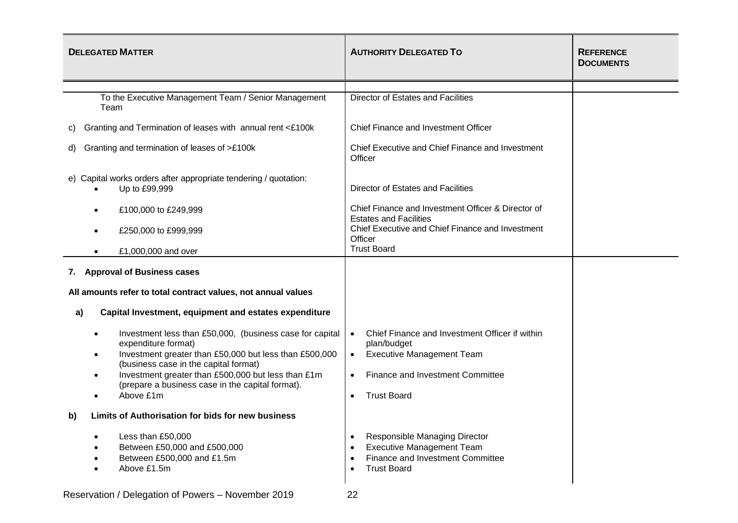| <b>DELEGATED MATTER</b>                                                                                                                                                                                                                                                                                                             | <b>AUTHORITY DELEGATED TO</b>                                                                                                                                                         | <b>REFERENCE</b><br><b>DOCUMENTS</b> |
|-------------------------------------------------------------------------------------------------------------------------------------------------------------------------------------------------------------------------------------------------------------------------------------------------------------------------------------|---------------------------------------------------------------------------------------------------------------------------------------------------------------------------------------|--------------------------------------|
|                                                                                                                                                                                                                                                                                                                                     |                                                                                                                                                                                       |                                      |
| To the Executive Management Team / Senior Management<br>Team                                                                                                                                                                                                                                                                        | Director of Estates and Facilities                                                                                                                                                    |                                      |
| Granting and Termination of leases with annual rent <£100k<br>C)                                                                                                                                                                                                                                                                    | Chief Finance and Investment Officer                                                                                                                                                  |                                      |
| Granting and termination of leases of >£100k<br>d)                                                                                                                                                                                                                                                                                  | Chief Executive and Chief Finance and Investment<br>Officer                                                                                                                           |                                      |
| e) Capital works orders after appropriate tendering / quotation:<br>Up to £99,999                                                                                                                                                                                                                                                   | Director of Estates and Facilities                                                                                                                                                    |                                      |
| £100,000 to £249,999                                                                                                                                                                                                                                                                                                                | Chief Finance and Investment Officer & Director of<br><b>Estates and Facilities</b>                                                                                                   |                                      |
| £250,000 to £999,999                                                                                                                                                                                                                                                                                                                | Chief Executive and Chief Finance and Investment<br>Officer                                                                                                                           |                                      |
| £1,000,000 and over                                                                                                                                                                                                                                                                                                                 | <b>Trust Board</b>                                                                                                                                                                    |                                      |
| 7. Approval of Business cases                                                                                                                                                                                                                                                                                                       |                                                                                                                                                                                       |                                      |
| All amounts refer to total contract values, not annual values                                                                                                                                                                                                                                                                       |                                                                                                                                                                                       |                                      |
| Capital Investment, equipment and estates expenditure<br>a)                                                                                                                                                                                                                                                                         |                                                                                                                                                                                       |                                      |
| Investment less than £50,000, (business case for capital<br>expenditure format)<br>Investment greater than £50,000 but less than £500,000<br>$\bullet$<br>(business case in the capital format)<br>Investment greater than £500,000 but less than £1m<br>$\bullet$<br>(prepare a business case in the capital format).<br>Above £1m | Chief Finance and Investment Officer if within<br>$\bullet$<br>plan/budget<br><b>Executive Management Team</b><br>$\bullet$<br>Finance and Investment Committee<br><b>Trust Board</b> |                                      |
| Limits of Authorisation for bids for new business<br>b)                                                                                                                                                                                                                                                                             |                                                                                                                                                                                       |                                      |
| Less than £50,000<br>Between £50,000 and £500,000<br>Between £500,000 and £1.5m<br>Above £1.5m                                                                                                                                                                                                                                      | Responsible Managing Director<br><b>Executive Management Team</b><br>Finance and Investment Committee<br><b>Trust Board</b>                                                           |                                      |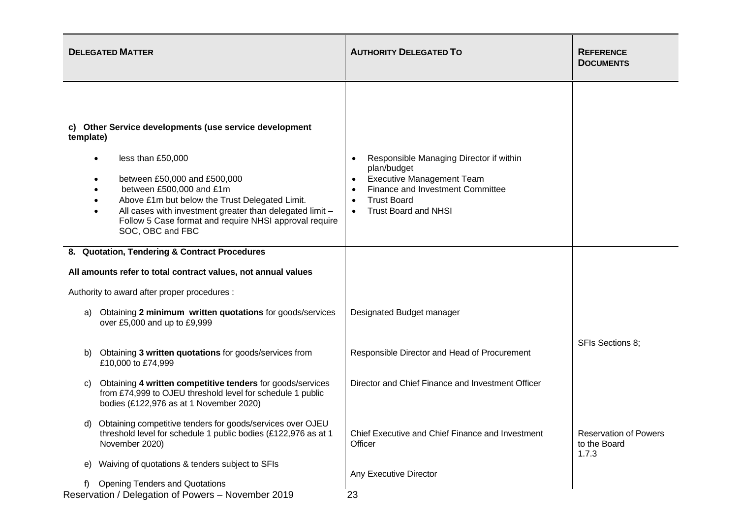| <b>DELEGATED MATTER</b>                                                                                                                                                                                                                                                                                                                          | <b>AUTHORITY DELEGATED TO</b>                                                                                                                                                                                 | <b>REFERENCE</b><br><b>DOCUMENTS</b>                  |
|--------------------------------------------------------------------------------------------------------------------------------------------------------------------------------------------------------------------------------------------------------------------------------------------------------------------------------------------------|---------------------------------------------------------------------------------------------------------------------------------------------------------------------------------------------------------------|-------------------------------------------------------|
| c) Other Service developments (use service development<br>template)<br>less than £50,000<br>between £50,000 and £500,000<br>between £500,000 and £1m<br>Above £1m but below the Trust Delegated Limit.<br>All cases with investment greater than delegated limit -<br>Follow 5 Case format and require NHSI approval require<br>SOC, OBC and FBC | Responsible Managing Director if within<br>plan/budget<br><b>Executive Management Team</b><br>Finance and Investment Committee<br><b>Trust Board</b><br>$\bullet$<br><b>Trust Board and NHSI</b><br>$\bullet$ |                                                       |
| 8. Quotation, Tendering & Contract Procedures                                                                                                                                                                                                                                                                                                    |                                                                                                                                                                                                               |                                                       |
| All amounts refer to total contract values, not annual values                                                                                                                                                                                                                                                                                    |                                                                                                                                                                                                               |                                                       |
| Authority to award after proper procedures :                                                                                                                                                                                                                                                                                                     |                                                                                                                                                                                                               |                                                       |
| Obtaining 2 minimum written quotations for goods/services<br>a)<br>over £5,000 and up to £9,999                                                                                                                                                                                                                                                  | Designated Budget manager                                                                                                                                                                                     |                                                       |
| Obtaining 3 written quotations for goods/services from<br>b)<br>£10,000 to £74,999                                                                                                                                                                                                                                                               | Responsible Director and Head of Procurement                                                                                                                                                                  | SFIs Sections 8;                                      |
| Obtaining 4 written competitive tenders for goods/services<br>C)<br>from £74,999 to OJEU threshold level for schedule 1 public<br>bodies (£122,976 as at 1 November 2020)                                                                                                                                                                        | Director and Chief Finance and Investment Officer                                                                                                                                                             |                                                       |
| Obtaining competitive tenders for goods/services over OJEU<br>d).<br>threshold level for schedule 1 public bodies (£122,976 as at 1<br>November 2020)                                                                                                                                                                                            | Chief Executive and Chief Finance and Investment<br>Officer                                                                                                                                                   | <b>Reservation of Powers</b><br>to the Board<br>1.7.3 |
| Waiving of quotations & tenders subject to SFIs<br>e)<br><b>Opening Tenders and Quotations</b><br>Reservation / Delegation of Powers - November 2019                                                                                                                                                                                             | Any Executive Director<br>23                                                                                                                                                                                  |                                                       |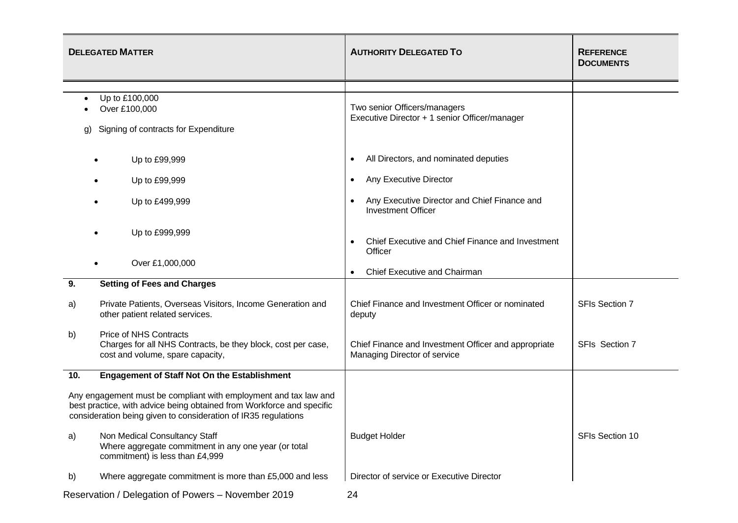|                                                                                                                                                                                                             | <b>DELEGATED MATTER</b>                                                                                                           | <b>AUTHORITY DELEGATED TO</b>                                                        | <b>REFERENCE</b><br><b>DOCUMENTS</b> |
|-------------------------------------------------------------------------------------------------------------------------------------------------------------------------------------------------------------|-----------------------------------------------------------------------------------------------------------------------------------|--------------------------------------------------------------------------------------|--------------------------------------|
|                                                                                                                                                                                                             |                                                                                                                                   |                                                                                      |                                      |
| $\bullet$<br>g)                                                                                                                                                                                             | Up to £100,000<br>Over £100,000<br>Signing of contracts for Expenditure                                                           | Two senior Officers/managers<br>Executive Director + 1 senior Officer/manager        |                                      |
|                                                                                                                                                                                                             | Up to £99,999                                                                                                                     | All Directors, and nominated deputies<br>٠                                           |                                      |
|                                                                                                                                                                                                             | Up to £99,999                                                                                                                     | Any Executive Director                                                               |                                      |
|                                                                                                                                                                                                             | Up to £499,999                                                                                                                    | Any Executive Director and Chief Finance and<br><b>Investment Officer</b>            |                                      |
|                                                                                                                                                                                                             | Up to £999,999                                                                                                                    | Chief Executive and Chief Finance and Investment<br>Officer                          |                                      |
|                                                                                                                                                                                                             | Over £1,000,000                                                                                                                   | Chief Executive and Chairman                                                         |                                      |
| 9.                                                                                                                                                                                                          | <b>Setting of Fees and Charges</b>                                                                                                |                                                                                      |                                      |
| a)                                                                                                                                                                                                          | Private Patients, Overseas Visitors, Income Generation and<br>other patient related services.                                     | Chief Finance and Investment Officer or nominated<br>deputy                          | <b>SFIs Section 7</b>                |
| b)                                                                                                                                                                                                          | <b>Price of NHS Contracts</b><br>Charges for all NHS Contracts, be they block, cost per case,<br>cost and volume, spare capacity, | Chief Finance and Investment Officer and appropriate<br>Managing Director of service | SFIs Section 7                       |
| 10.                                                                                                                                                                                                         | <b>Engagement of Staff Not On the Establishment</b>                                                                               |                                                                                      |                                      |
| Any engagement must be compliant with employment and tax law and<br>best practice, with advice being obtained from Workforce and specific<br>consideration being given to consideration of IR35 regulations |                                                                                                                                   |                                                                                      |                                      |
| a)                                                                                                                                                                                                          | Non Medical Consultancy Staff<br>Where aggregate commitment in any one year (or total<br>commitment) is less than £4,999          | <b>Budget Holder</b>                                                                 | SFIs Section 10                      |
| b)                                                                                                                                                                                                          | Where aggregate commitment is more than £5,000 and less                                                                           | Director of service or Executive Director                                            |                                      |
|                                                                                                                                                                                                             | Reservation / Delegation of Powers - November 2019                                                                                | 24                                                                                   |                                      |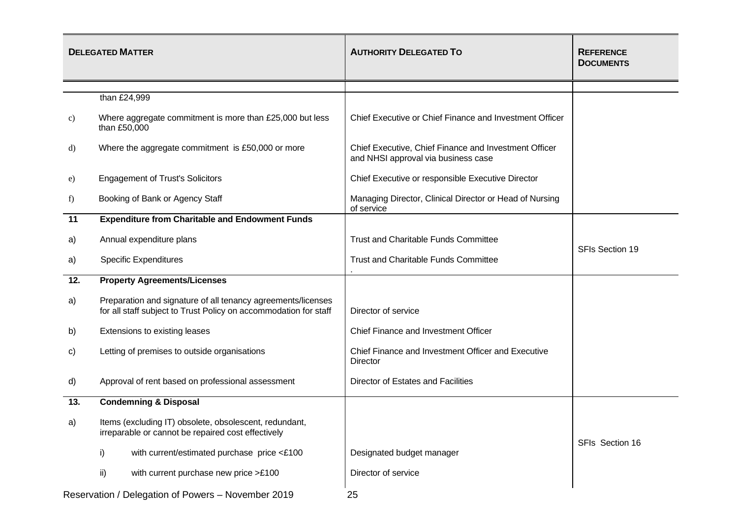|                                                    | <b>DELEGATED MATTER</b>                                                                                                          | <b>AUTHORITY DELEGATED TO</b>                                                                | <b>REFERENCE</b><br><b>DOCUMENTS</b> |
|----------------------------------------------------|----------------------------------------------------------------------------------------------------------------------------------|----------------------------------------------------------------------------------------------|--------------------------------------|
|                                                    |                                                                                                                                  |                                                                                              |                                      |
|                                                    | than £24,999                                                                                                                     |                                                                                              |                                      |
| c)                                                 | Where aggregate commitment is more than £25,000 but less<br>than £50,000                                                         | Chief Executive or Chief Finance and Investment Officer                                      |                                      |
| d)                                                 | Where the aggregate commitment is £50,000 or more                                                                                | Chief Executive, Chief Finance and Investment Officer<br>and NHSI approval via business case |                                      |
| e)                                                 | <b>Engagement of Trust's Solicitors</b>                                                                                          | Chief Executive or responsible Executive Director                                            |                                      |
| f                                                  | Booking of Bank or Agency Staff                                                                                                  | Managing Director, Clinical Director or Head of Nursing<br>of service                        |                                      |
| 11                                                 | <b>Expenditure from Charitable and Endowment Funds</b>                                                                           |                                                                                              |                                      |
| a)                                                 | Annual expenditure plans                                                                                                         | <b>Trust and Charitable Funds Committee</b>                                                  | SFIs Section 19                      |
| a)                                                 | <b>Specific Expenditures</b>                                                                                                     | <b>Trust and Charitable Funds Committee</b>                                                  |                                      |
| 12.                                                | <b>Property Agreements/Licenses</b>                                                                                              |                                                                                              |                                      |
| a)                                                 | Preparation and signature of all tenancy agreements/licenses<br>for all staff subject to Trust Policy on accommodation for staff | Director of service                                                                          |                                      |
| b)                                                 | Extensions to existing leases                                                                                                    | Chief Finance and Investment Officer                                                         |                                      |
| C)                                                 | Letting of premises to outside organisations                                                                                     | Chief Finance and Investment Officer and Executive<br><b>Director</b>                        |                                      |
| d)                                                 | Approval of rent based on professional assessment                                                                                | Director of Estates and Facilities                                                           |                                      |
| 13.                                                | <b>Condemning &amp; Disposal</b>                                                                                                 |                                                                                              |                                      |
| a)                                                 | Items (excluding IT) obsolete, obsolescent, redundant,<br>irreparable or cannot be repaired cost effectively                     |                                                                                              |                                      |
|                                                    | i)<br>with current/estimated purchase price <£100                                                                                | Designated budget manager                                                                    | SFIs Section 16                      |
|                                                    | with current purchase new price >£100<br>ii)                                                                                     | Director of service                                                                          |                                      |
| Reservation / Delegation of Powers - November 2019 |                                                                                                                                  | 25                                                                                           |                                      |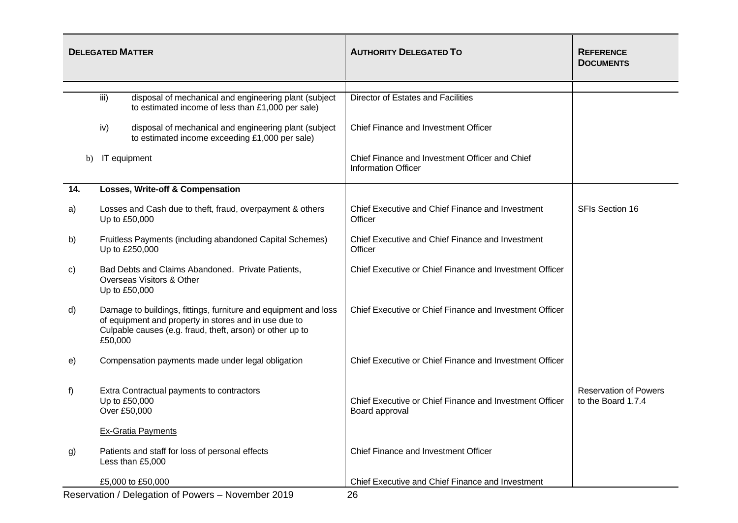|     | <b>DELEGATED MATTER</b>                                                                                                                                                                          | <b>AUTHORITY DELEGATED TO</b>                                                | <b>REFERENCE</b><br><b>DOCUMENTS</b>               |
|-----|--------------------------------------------------------------------------------------------------------------------------------------------------------------------------------------------------|------------------------------------------------------------------------------|----------------------------------------------------|
|     |                                                                                                                                                                                                  |                                                                              |                                                    |
|     | iii)<br>disposal of mechanical and engineering plant (subject<br>to estimated income of less than £1,000 per sale)                                                                               | Director of Estates and Facilities                                           |                                                    |
|     | disposal of mechanical and engineering plant (subject<br>iv)<br>to estimated income exceeding £1,000 per sale)                                                                                   | Chief Finance and Investment Officer                                         |                                                    |
| b)  | IT equipment                                                                                                                                                                                     | Chief Finance and Investment Officer and Chief<br><b>Information Officer</b> |                                                    |
| 14. | Losses, Write-off & Compensation                                                                                                                                                                 |                                                                              |                                                    |
| a)  | Losses and Cash due to theft, fraud, overpayment & others<br>Up to £50,000                                                                                                                       | Chief Executive and Chief Finance and Investment<br>Officer                  | <b>SFIs Section 16</b>                             |
| b)  | Fruitless Payments (including abandoned Capital Schemes)<br>Up to £250,000                                                                                                                       | Chief Executive and Chief Finance and Investment<br>Officer                  |                                                    |
| C)  | Bad Debts and Claims Abandoned. Private Patients,<br>Overseas Visitors & Other<br>Up to £50,000                                                                                                  | Chief Executive or Chief Finance and Investment Officer                      |                                                    |
| d)  | Damage to buildings, fittings, furniture and equipment and loss<br>of equipment and property in stores and in use due to<br>Culpable causes (e.g. fraud, theft, arson) or other up to<br>£50,000 | Chief Executive or Chief Finance and Investment Officer                      |                                                    |
| e)  | Compensation payments made under legal obligation                                                                                                                                                | Chief Executive or Chief Finance and Investment Officer                      |                                                    |
| f)  | Extra Contractual payments to contractors<br>Up to £50,000<br>Over £50,000                                                                                                                       | Chief Executive or Chief Finance and Investment Officer<br>Board approval    | <b>Reservation of Powers</b><br>to the Board 1.7.4 |
|     | <b>Ex-Gratia Payments</b>                                                                                                                                                                        |                                                                              |                                                    |
| g)  | Patients and staff for loss of personal effects<br>Less than £5,000                                                                                                                              | Chief Finance and Investment Officer                                         |                                                    |
|     | £5,000 to £50,000                                                                                                                                                                                | Chief Executive and Chief Finance and Investment                             |                                                    |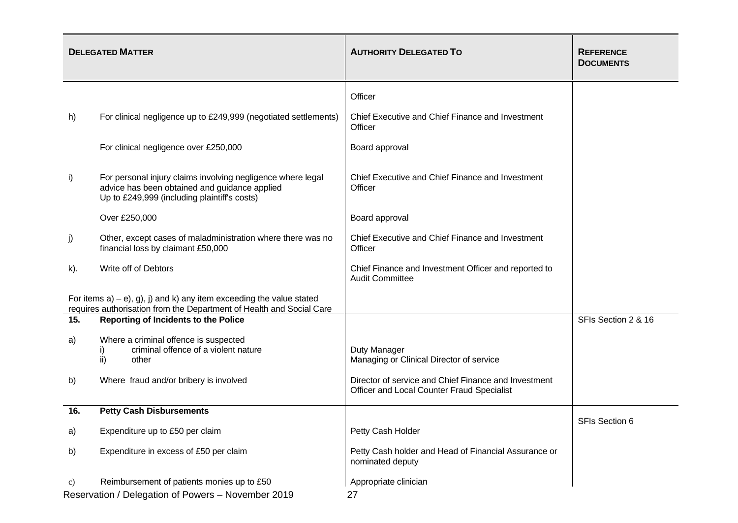|                                                    | <b>DELEGATED MATTER</b>                                                                                                                                      | <b>AUTHORITY DELEGATED TO</b>                                                                      | <b>REFERENCE</b><br><b>DOCUMENTS</b> |
|----------------------------------------------------|--------------------------------------------------------------------------------------------------------------------------------------------------------------|----------------------------------------------------------------------------------------------------|--------------------------------------|
|                                                    |                                                                                                                                                              | Officer                                                                                            |                                      |
| h)                                                 | For clinical negligence up to £249,999 (negotiated settlements)                                                                                              | Chief Executive and Chief Finance and Investment<br>Officer                                        |                                      |
|                                                    | For clinical negligence over £250,000                                                                                                                        | Board approval                                                                                     |                                      |
| i)                                                 | For personal injury claims involving negligence where legal<br>advice has been obtained and guidance applied<br>Up to £249,999 (including plaintiff's costs) | Chief Executive and Chief Finance and Investment<br>Officer                                        |                                      |
|                                                    | Over £250,000                                                                                                                                                | Board approval                                                                                     |                                      |
| j)                                                 | Other, except cases of maladministration where there was no<br>financial loss by claimant £50,000                                                            | Chief Executive and Chief Finance and Investment<br>Officer                                        |                                      |
| k).                                                | Write off of Debtors                                                                                                                                         | Chief Finance and Investment Officer and reported to<br><b>Audit Committee</b>                     |                                      |
|                                                    | For items $a$ ) – e), g), j) and k) any item exceeding the value stated<br>requires authorisation from the Department of Health and Social Care              |                                                                                                    |                                      |
| 15.                                                | <b>Reporting of Incidents to the Police</b>                                                                                                                  |                                                                                                    | SFIs Section 2 & 16                  |
| a)                                                 | Where a criminal offence is suspected<br>criminal offence of a violent nature<br>ii)<br>other                                                                | Duty Manager<br>Managing or Clinical Director of service                                           |                                      |
| b)                                                 | Where fraud and/or bribery is involved                                                                                                                       | Director of service and Chief Finance and Investment<br>Officer and Local Counter Fraud Specialist |                                      |
| 16.                                                | <b>Petty Cash Disbursements</b>                                                                                                                              |                                                                                                    | <b>SFIs Section 6</b>                |
| a)                                                 | Expenditure up to £50 per claim                                                                                                                              | Petty Cash Holder                                                                                  |                                      |
| b)                                                 | Expenditure in excess of £50 per claim                                                                                                                       | Petty Cash holder and Head of Financial Assurance or<br>nominated deputy                           |                                      |
| C)                                                 | Reimbursement of patients monies up to £50                                                                                                                   | Appropriate clinician                                                                              |                                      |
| Reservation / Delegation of Powers - November 2019 |                                                                                                                                                              | 27                                                                                                 |                                      |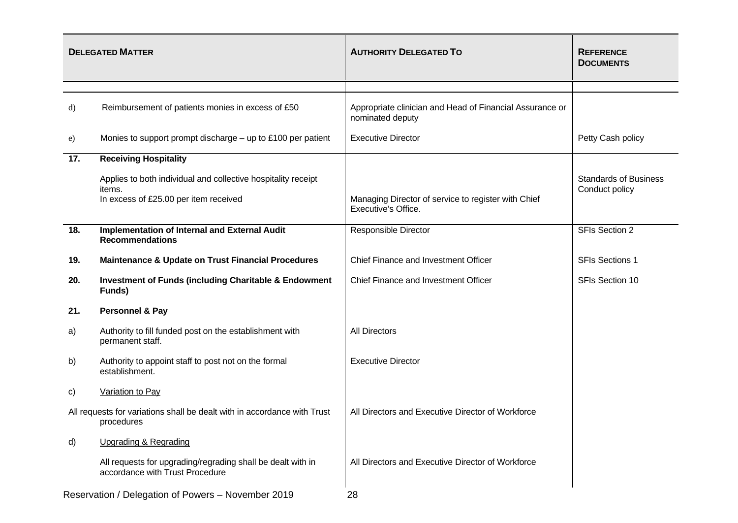|                                                                                        | <b>DELEGATED MATTER</b>                                                                                          | <b>AUTHORITY DELEGATED TO</b>                                                | <b>REFERENCE</b><br><b>DOCUMENTS</b>           |
|----------------------------------------------------------------------------------------|------------------------------------------------------------------------------------------------------------------|------------------------------------------------------------------------------|------------------------------------------------|
|                                                                                        |                                                                                                                  |                                                                              |                                                |
| d)                                                                                     | Reimbursement of patients monies in excess of £50                                                                | Appropriate clinician and Head of Financial Assurance or<br>nominated deputy |                                                |
| e)                                                                                     | Monies to support prompt discharge $-$ up to £100 per patient                                                    | <b>Executive Director</b>                                                    | Petty Cash policy                              |
| 17.                                                                                    | <b>Receiving Hospitality</b>                                                                                     |                                                                              |                                                |
|                                                                                        | Applies to both individual and collective hospitality receipt<br>items.<br>In excess of £25.00 per item received | Managing Director of service to register with Chief<br>Executive's Office.   | <b>Standards of Business</b><br>Conduct policy |
|                                                                                        |                                                                                                                  |                                                                              |                                                |
| 18.                                                                                    | Implementation of Internal and External Audit<br><b>Recommendations</b>                                          | <b>Responsible Director</b>                                                  | SFIs Section 2                                 |
| 19.                                                                                    | <b>Maintenance &amp; Update on Trust Financial Procedures</b>                                                    | Chief Finance and Investment Officer                                         | <b>SFIs Sections 1</b>                         |
| 20.                                                                                    | <b>Investment of Funds (including Charitable &amp; Endowment</b><br>Funds)                                       | Chief Finance and Investment Officer                                         | SFIs Section 10                                |
| 21.                                                                                    | Personnel & Pay                                                                                                  |                                                                              |                                                |
| a)                                                                                     | Authority to fill funded post on the establishment with<br>permanent staff.                                      | <b>All Directors</b>                                                         |                                                |
| b)                                                                                     | Authority to appoint staff to post not on the formal<br>establishment.                                           | <b>Executive Director</b>                                                    |                                                |
| C)                                                                                     | Variation to Pay                                                                                                 |                                                                              |                                                |
| All requests for variations shall be dealt with in accordance with Trust<br>procedures |                                                                                                                  | All Directors and Executive Director of Workforce                            |                                                |
| d)                                                                                     | <b>Upgrading &amp; Regrading</b>                                                                                 |                                                                              |                                                |
|                                                                                        | All requests for upgrading/regrading shall be dealt with in<br>accordance with Trust Procedure                   | All Directors and Executive Director of Workforce                            |                                                |
| Reservation / Delegation of Powers - November 2019                                     |                                                                                                                  | 28                                                                           |                                                |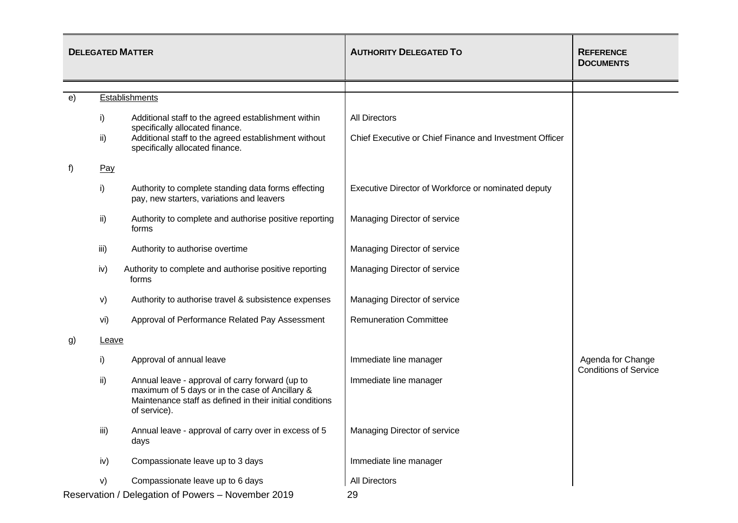| <b>DELEGATED MATTER</b> |              |                                                                                                                                                                                | <b>AUTHORITY DELEGATED TO</b>                           | <b>REFERENCE</b><br><b>DOCUMENTS</b>              |
|-------------------------|--------------|--------------------------------------------------------------------------------------------------------------------------------------------------------------------------------|---------------------------------------------------------|---------------------------------------------------|
|                         |              |                                                                                                                                                                                |                                                         |                                                   |
| e)                      |              | <b>Establishments</b>                                                                                                                                                          |                                                         |                                                   |
|                         | i)           | Additional staff to the agreed establishment within<br>specifically allocated finance.                                                                                         | <b>All Directors</b>                                    |                                                   |
|                         | ii)          | Additional staff to the agreed establishment without<br>specifically allocated finance.                                                                                        | Chief Executive or Chief Finance and Investment Officer |                                                   |
| f)                      | Pay          |                                                                                                                                                                                |                                                         |                                                   |
|                         | i)           | Authority to complete standing data forms effecting<br>pay, new starters, variations and leavers                                                                               | Executive Director of Workforce or nominated deputy     |                                                   |
|                         | ii)          | Authority to complete and authorise positive reporting<br>forms                                                                                                                | Managing Director of service                            |                                                   |
|                         | iii)         | Authority to authorise overtime                                                                                                                                                | Managing Director of service                            |                                                   |
|                         | iv)          | Authority to complete and authorise positive reporting<br>forms                                                                                                                | Managing Director of service                            |                                                   |
|                         | V)           | Authority to authorise travel & subsistence expenses                                                                                                                           | Managing Director of service                            |                                                   |
|                         | vi)          | Approval of Performance Related Pay Assessment                                                                                                                                 | <b>Remuneration Committee</b>                           |                                                   |
| g)                      | <b>Leave</b> |                                                                                                                                                                                |                                                         |                                                   |
|                         | i)           | Approval of annual leave                                                                                                                                                       | Immediate line manager                                  | Agenda for Change<br><b>Conditions of Service</b> |
|                         | ii)          | Annual leave - approval of carry forward (up to<br>maximum of 5 days or in the case of Ancillary &<br>Maintenance staff as defined in their initial conditions<br>of service). | Immediate line manager                                  |                                                   |
|                         | iii)         | Annual leave - approval of carry over in excess of 5<br>days                                                                                                                   | Managing Director of service                            |                                                   |
|                         | iv)          | Compassionate leave up to 3 days                                                                                                                                               | Immediate line manager                                  |                                                   |
|                         | V)           | Compassionate leave up to 6 days                                                                                                                                               | All Directors                                           |                                                   |
|                         |              | Reservation / Delegation of Powers - November 2019                                                                                                                             | 29                                                      |                                                   |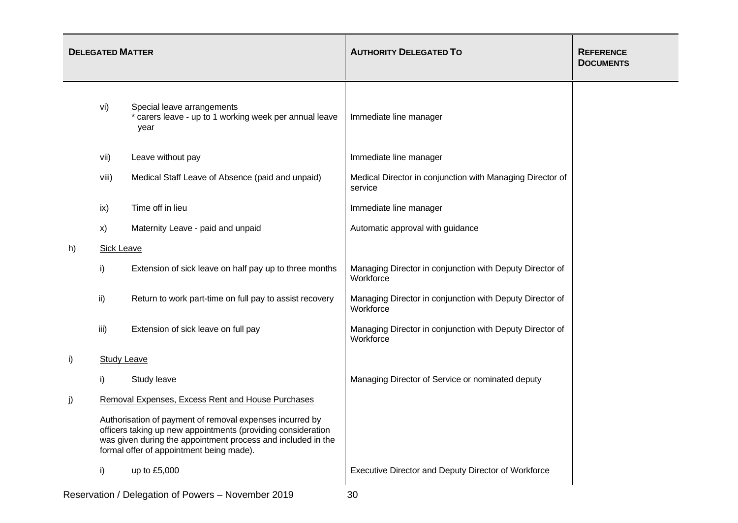| <b>DELEGATED MATTER</b> |                                                                                                                                                                                                                                      |                                                                                              | <b>AUTHORITY DELEGATED TO</b>                                         | <b>REFERENCE</b><br><b>DOCUMENTS</b> |
|-------------------------|--------------------------------------------------------------------------------------------------------------------------------------------------------------------------------------------------------------------------------------|----------------------------------------------------------------------------------------------|-----------------------------------------------------------------------|--------------------------------------|
|                         | vi)                                                                                                                                                                                                                                  | Special leave arrangements<br>* carers leave - up to 1 working week per annual leave<br>year | Immediate line manager                                                |                                      |
|                         | vii)                                                                                                                                                                                                                                 | Leave without pay                                                                            | Immediate line manager                                                |                                      |
|                         | viii)                                                                                                                                                                                                                                | Medical Staff Leave of Absence (paid and unpaid)                                             | Medical Director in conjunction with Managing Director of<br>service  |                                      |
|                         | ix)                                                                                                                                                                                                                                  | Time off in lieu                                                                             | Immediate line manager                                                |                                      |
|                         | X)                                                                                                                                                                                                                                   | Maternity Leave - paid and unpaid                                                            | Automatic approval with guidance                                      |                                      |
| h)                      | <b>Sick Leave</b>                                                                                                                                                                                                                    |                                                                                              |                                                                       |                                      |
|                         | i)                                                                                                                                                                                                                                   | Extension of sick leave on half pay up to three months                                       | Managing Director in conjunction with Deputy Director of<br>Workforce |                                      |
|                         | ii)                                                                                                                                                                                                                                  | Return to work part-time on full pay to assist recovery                                      | Managing Director in conjunction with Deputy Director of<br>Workforce |                                      |
|                         | iii)                                                                                                                                                                                                                                 | Extension of sick leave on full pay                                                          | Managing Director in conjunction with Deputy Director of<br>Workforce |                                      |
| i)                      | <b>Study Leave</b>                                                                                                                                                                                                                   |                                                                                              |                                                                       |                                      |
|                         | i)                                                                                                                                                                                                                                   | Study leave                                                                                  | Managing Director of Service or nominated deputy                      |                                      |
| j)                      |                                                                                                                                                                                                                                      | Removal Expenses, Excess Rent and House Purchases                                            |                                                                       |                                      |
|                         | Authorisation of payment of removal expenses incurred by<br>officers taking up new appointments (providing consideration<br>was given during the appointment process and included in the<br>formal offer of appointment being made). |                                                                                              |                                                                       |                                      |
|                         | i)                                                                                                                                                                                                                                   | up to £5,000                                                                                 | Executive Director and Deputy Director of Workforce                   |                                      |
|                         |                                                                                                                                                                                                                                      | Beconvotion / Delegation of Bowers Nevember 2010                                             |                                                                       |                                      |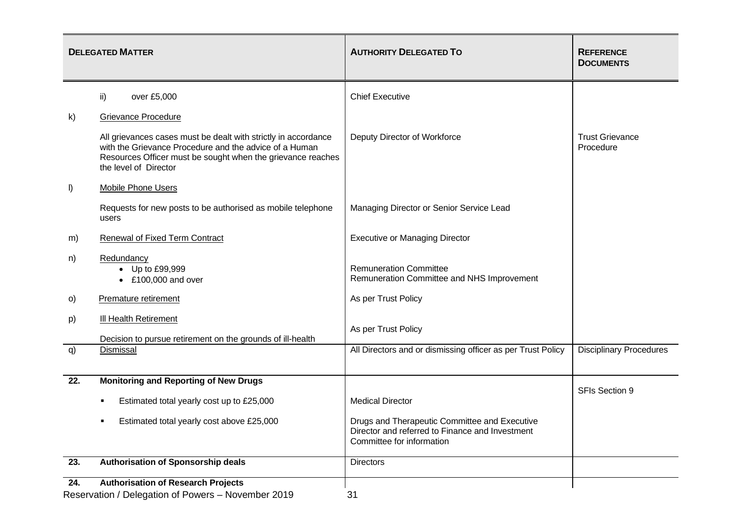|                                                                                                        | <b>DELEGATED MATTER</b>                                                                                                                                                                                          | <b>AUTHORITY DELEGATED TO</b>                                                                                                 | <b>REFERENCE</b><br><b>DOCUMENTS</b> |
|--------------------------------------------------------------------------------------------------------|------------------------------------------------------------------------------------------------------------------------------------------------------------------------------------------------------------------|-------------------------------------------------------------------------------------------------------------------------------|--------------------------------------|
|                                                                                                        | ii)<br>over £5,000                                                                                                                                                                                               | <b>Chief Executive</b>                                                                                                        |                                      |
| k)                                                                                                     | <b>Grievance Procedure</b>                                                                                                                                                                                       |                                                                                                                               |                                      |
|                                                                                                        | All grievances cases must be dealt with strictly in accordance<br>with the Grievance Procedure and the advice of a Human<br>Resources Officer must be sought when the grievance reaches<br>the level of Director | Deputy Director of Workforce                                                                                                  | <b>Trust Grievance</b><br>Procedure  |
| $\vert$                                                                                                | <b>Mobile Phone Users</b>                                                                                                                                                                                        |                                                                                                                               |                                      |
|                                                                                                        | Requests for new posts to be authorised as mobile telephone<br>users                                                                                                                                             | Managing Director or Senior Service Lead                                                                                      |                                      |
| m)                                                                                                     | Renewal of Fixed Term Contract                                                                                                                                                                                   | <b>Executive or Managing Director</b>                                                                                         |                                      |
| n)                                                                                                     | Redundancy<br>• Up to £99,999<br>$\bullet$ £100,000 and over                                                                                                                                                     | <b>Remuneration Committee</b><br>Remuneration Committee and NHS Improvement                                                   |                                      |
| O)                                                                                                     | Premature retirement                                                                                                                                                                                             | As per Trust Policy                                                                                                           |                                      |
| p)                                                                                                     | <b>III Health Retirement</b><br>Decision to pursue retirement on the grounds of ill-health                                                                                                                       | As per Trust Policy                                                                                                           |                                      |
| q)                                                                                                     | Dismissal                                                                                                                                                                                                        | All Directors and or dismissing officer as per Trust Policy                                                                   | <b>Disciplinary Procedures</b>       |
| 22.                                                                                                    | <b>Monitoring and Reporting of New Drugs</b>                                                                                                                                                                     |                                                                                                                               |                                      |
|                                                                                                        | Estimated total yearly cost up to £25,000                                                                                                                                                                        | <b>Medical Director</b>                                                                                                       | SFIs Section 9                       |
|                                                                                                        | Estimated total yearly cost above £25,000                                                                                                                                                                        | Drugs and Therapeutic Committee and Executive<br>Director and referred to Finance and Investment<br>Committee for information |                                      |
| 23.                                                                                                    | Authorisation of Sponsorship deals                                                                                                                                                                               | <b>Directors</b>                                                                                                              |                                      |
| 24.<br><b>Authorisation of Research Projects</b><br>Reservation / Delegation of Powers - November 2019 |                                                                                                                                                                                                                  | 31                                                                                                                            |                                      |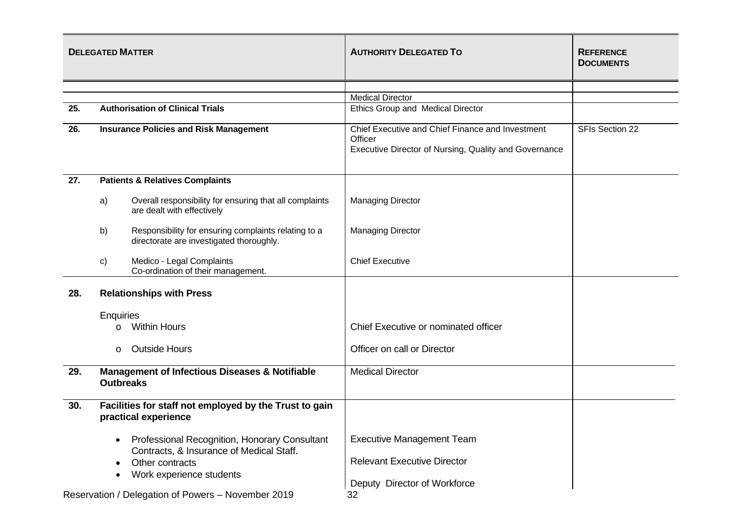| <b>DELEGATED MATTER</b>                            |                                                                                |                                                                                                  | <b>AUTHORITY DELEGATED TO</b>                                                                                        | <b>REFERENCE</b><br><b>DOCUMENTS</b> |
|----------------------------------------------------|--------------------------------------------------------------------------------|--------------------------------------------------------------------------------------------------|----------------------------------------------------------------------------------------------------------------------|--------------------------------------|
|                                                    |                                                                                |                                                                                                  |                                                                                                                      |                                      |
|                                                    |                                                                                |                                                                                                  | <b>Medical Director</b>                                                                                              |                                      |
| 25.                                                |                                                                                | <b>Authorisation of Clinical Trials</b>                                                          | Ethics Group and Medical Director                                                                                    |                                      |
| 26.                                                |                                                                                | <b>Insurance Policies and Risk Management</b>                                                    | Chief Executive and Chief Finance and Investment<br>Officer<br>Executive Director of Nursing, Quality and Governance | SFIs Section 22                      |
| 27.                                                |                                                                                | <b>Patients &amp; Relatives Complaints</b>                                                       |                                                                                                                      |                                      |
|                                                    | a)                                                                             | Overall responsibility for ensuring that all complaints<br>are dealt with effectively            | <b>Managing Director</b>                                                                                             |                                      |
|                                                    | b)                                                                             | Responsibility for ensuring complaints relating to a<br>directorate are investigated thoroughly. | <b>Managing Director</b>                                                                                             |                                      |
|                                                    | c)                                                                             | Medico - Legal Complaints<br>Co-ordination of their management.                                  | <b>Chief Executive</b>                                                                                               |                                      |
| 28.                                                | <b>Relationships with Press</b><br><b>Enquiries</b>                            |                                                                                                  |                                                                                                                      |                                      |
|                                                    |                                                                                |                                                                                                  |                                                                                                                      |                                      |
|                                                    | $\circ$                                                                        | <b>Within Hours</b>                                                                              | Chief Executive or nominated officer                                                                                 |                                      |
|                                                    | $\circ$                                                                        | <b>Outside Hours</b>                                                                             | Officer on call or Director                                                                                          |                                      |
| 29.                                                | <b>Outbreaks</b>                                                               | <b>Management of Infectious Diseases &amp; Notifiable</b>                                        | <b>Medical Director</b>                                                                                              |                                      |
| 30.                                                | Facilities for staff not employed by the Trust to gain<br>practical experience |                                                                                                  |                                                                                                                      |                                      |
|                                                    |                                                                                | Professional Recognition, Honorary Consultant<br>Contracts, & Insurance of Medical Staff.        | <b>Executive Management Team</b>                                                                                     |                                      |
|                                                    |                                                                                | Other contracts                                                                                  | <b>Relevant Executive Director</b>                                                                                   |                                      |
|                                                    |                                                                                | Work experience students                                                                         | Deputy Director of Workforce                                                                                         |                                      |
| Reservation / Delegation of Powers - November 2019 |                                                                                |                                                                                                  | 32                                                                                                                   |                                      |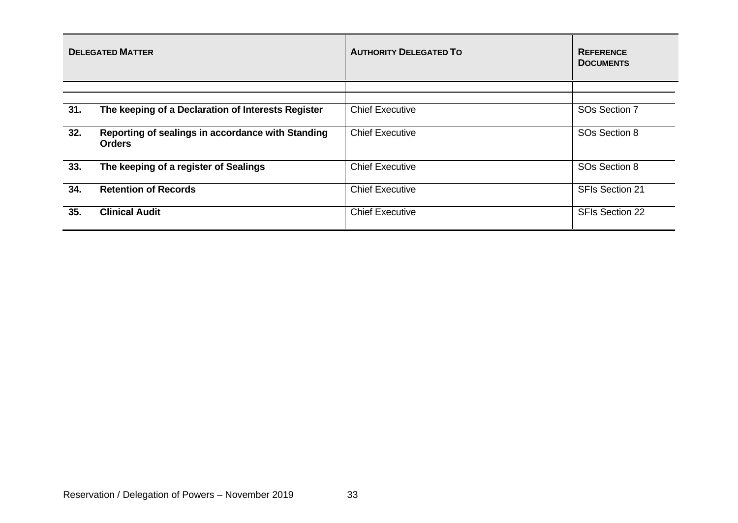|     | <b>DELEGATED MATTER</b>                                            | <b>AUTHORITY DELEGATED TO</b> | <b>REFERENCE</b><br><b>DOCUMENTS</b> |
|-----|--------------------------------------------------------------------|-------------------------------|--------------------------------------|
|     |                                                                    |                               |                                      |
| 31. | The keeping of a Declaration of Interests Register                 | <b>Chief Executive</b>        | SOs Section 7                        |
| 32. | Reporting of sealings in accordance with Standing<br><b>Orders</b> | <b>Chief Executive</b>        | SO <sub>s</sub> Section 8            |
| 33. | The keeping of a register of Sealings                              | <b>Chief Executive</b>        | SOs Section 8                        |
| 34. | <b>Retention of Records</b>                                        | <b>Chief Executive</b>        | <b>SFIs Section 21</b>               |
| 35. | <b>Clinical Audit</b>                                              | <b>Chief Executive</b>        | <b>SFIs Section 22</b>               |